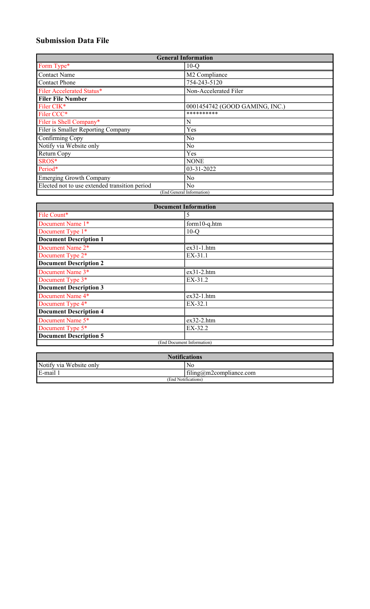## **Submission Data File**

| <b>General Information</b>                    |                                |  |  |  |  |  |  |  |
|-----------------------------------------------|--------------------------------|--|--|--|--|--|--|--|
| Form Type*                                    | $10-Q$                         |  |  |  |  |  |  |  |
| <b>Contact Name</b>                           | M2 Compliance                  |  |  |  |  |  |  |  |
| <b>Contact Phone</b>                          | 754-243-5120                   |  |  |  |  |  |  |  |
| Filer Accelerated Status*                     | Non-Accelerated Filer          |  |  |  |  |  |  |  |
| <b>Filer File Number</b>                      |                                |  |  |  |  |  |  |  |
| Filer CIK*                                    | 0001454742 (GOOD GAMING, INC.) |  |  |  |  |  |  |  |
| Filer CCC*                                    | **********                     |  |  |  |  |  |  |  |
| Filer is Shell Company*                       | N                              |  |  |  |  |  |  |  |
| Filer is Smaller Reporting Company            | Yes                            |  |  |  |  |  |  |  |
| Confirming Copy                               | No                             |  |  |  |  |  |  |  |
| Notify via Website only                       | No                             |  |  |  |  |  |  |  |
| Return Copy                                   | Yes                            |  |  |  |  |  |  |  |
| SROS*                                         | <b>NONE</b>                    |  |  |  |  |  |  |  |
| Period*                                       | 03-31-2022                     |  |  |  |  |  |  |  |
| <b>Emerging Growth Company</b>                | No                             |  |  |  |  |  |  |  |
| Elected not to use extended transition period | No                             |  |  |  |  |  |  |  |
|                                               | (End General Information)      |  |  |  |  |  |  |  |

| <b>Document Information</b>   |                            |  |  |  |  |  |
|-------------------------------|----------------------------|--|--|--|--|--|
| File Count*                   | 5                          |  |  |  |  |  |
| Document Name 1*              | form10-q.htm               |  |  |  |  |  |
| Document Type 1*              | $10-Q$                     |  |  |  |  |  |
| <b>Document Description 1</b> |                            |  |  |  |  |  |
| Document Name 2*              | $ex31-1.htm$               |  |  |  |  |  |
| Document Type 2*              | EX-31.1                    |  |  |  |  |  |
| <b>Document Description 2</b> |                            |  |  |  |  |  |
| Document Name 3*              | $ex31-2.htm$               |  |  |  |  |  |
| Document Type 3*              | EX-31.2                    |  |  |  |  |  |
| <b>Document Description 3</b> |                            |  |  |  |  |  |
| Document Name 4*              | $ex32-1.htm$               |  |  |  |  |  |
| Document Type 4*              | EX-32.1                    |  |  |  |  |  |
| <b>Document Description 4</b> |                            |  |  |  |  |  |
| Document Name 5*              | $ex32-2.htm$               |  |  |  |  |  |
| Document Type 5*              | EX-32.2                    |  |  |  |  |  |
| <b>Document Description 5</b> |                            |  |  |  |  |  |
|                               | (End Document Information) |  |  |  |  |  |

| <b>Notifications</b>    |                         |  |  |  |  |  |  |
|-------------------------|-------------------------|--|--|--|--|--|--|
| Notify via Website only | N <sub>0</sub>          |  |  |  |  |  |  |
| E-mail 1                | filing@m2compliance.com |  |  |  |  |  |  |
| (End Notifications)     |                         |  |  |  |  |  |  |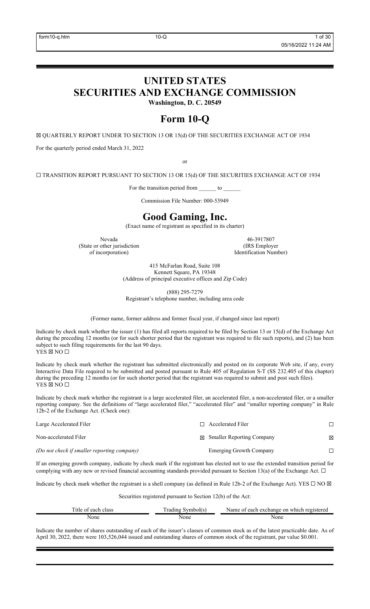# **UNITED STATES SECURITIES AND EXCHANGE COMMISSION**

**Washington, D. C. 20549**

## **Form 10-Q**

☒ QUARTERLY REPORT UNDER TO SECTION 13 OR 15(d) OF THE SECURITIES EXCHANGE ACT OF 1934

For the quarterly period ended March 31, 2022

or

☐ TRANSITION REPORT PURSUANT TO SECTION 13 OR 15(d) OF THE SECURITIES EXCHANGE ACT OF 1934

For the transition period from \_\_\_\_\_\_\_ to \_

Commission File Number: 000-53949

## **Good Gaming, Inc.**

(Exact name of registrant as specified in its charter)

Nevada 46-3917807 (State or other jurisdiction of incorporation)

(IRS Employer Identification Number)

415 McFarlan Road, Suite 108 Kennett Square, PA 19348 (Address of principal executive offices and Zip Code)

(888) 295-7279

Registrant's telephone number, including area code

(Former name, former address and former fiscal year, if changed since last report)

Indicate by check mark whether the issuer (1) has filed all reports required to be filed by Section 13 or 15(d) of the Exchange Act during the preceding 12 months (or for such shorter period that the registrant was required to file such reports), and (2) has been subject to such filing requirements for the last 90 days. YES ⊠ NO  $□$ 

Indicate by check mark whether the registrant has submitted electronically and posted on its corporate Web site, if any, every Interactive Data File required to be submitted and posted pursuant to Rule 405 of Regulation S-T (SS 232.405 of this chapter) during the preceding 12 months (or for such shorter period that the registrant was required to submit and post such files). YES ⊠ NO □

Indicate by check mark whether the registrant is a large accelerated filer, an accelerated filer, a non-accelerated filer, or a smaller reporting company. See the definitions of "large accelerated filer," "accelerated filer" and "smaller reporting company" in Rule 12b-2 of the Exchange Act. (Check one):

| Large Accelerated Filer                     | $\Box$ Accelerated Filer              |   |
|---------------------------------------------|---------------------------------------|---|
| Non-accelerated Filer                       | $\boxtimes$ Smaller Reporting Company | 冈 |
| (Do not check if smaller reporting company) | <b>Emerging Growth Company</b>        |   |

If an emerging growth company, indicate by check mark if the registrant has elected not to use the extended transition period for complying with any new or revised financial accounting standards provided pursuant to Section 13(a) of the Exchange Act.  $\Box$ 

Indicate by check mark whether the registrant is a shell company (as defined in Rule 12b-2 of the Exchange Act). YES □ NO ⊠

Securities registered pursuant to Section 12(b) of the Act:

| class<br>itle of each | $\sim$<br>l radıng<br>: Symbol(s | f each exchange on which registered<br>Name of |
|-----------------------|----------------------------------|------------------------------------------------|
| None                  | None                             | None                                           |
|                       |                                  |                                                |

Indicate the number of shares outstanding of each of the issuer's classes of common stock as of the latest practicable date. As of April 30, 2022, there were 103,526,044 issued and outstanding shares of common stock of the registrant, par value \$0.001.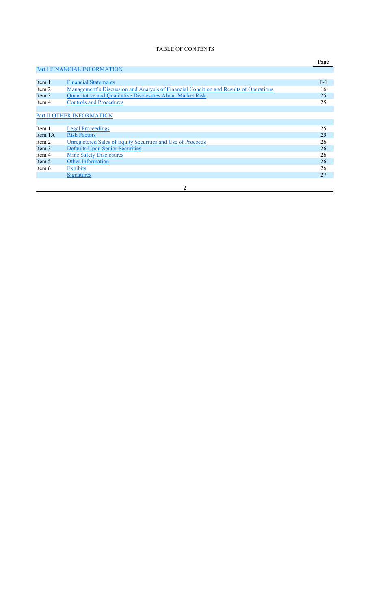## TABLE OF CONTENTS

|         |                                                                                       | Page  |
|---------|---------------------------------------------------------------------------------------|-------|
|         | Part I FINANCIAL INFORMATION                                                          |       |
|         |                                                                                       |       |
| Item 1  | <b>Financial Statements</b>                                                           | $F-1$ |
| Item 2  | Management's Discussion and Analysis of Financial Condition and Results of Operations | 16    |
| Item 3  | <b>Quantitative and Qualitative Disclosures About Market Risk</b>                     | 25    |
| Item 4  | <b>Controls and Procedures</b>                                                        | 25    |
|         |                                                                                       |       |
|         | Part II OTHER INFORMATION                                                             |       |
|         |                                                                                       |       |
| Item 1  | <b>Legal Proceedings</b>                                                              | 25    |
| Item 1A | <b>Risk Factors</b>                                                                   | 25    |
| Item 2  | Unregistered Sales of Equity Securities and Use of Proceeds                           | 26    |
| Item 3  | <b>Defaults Upon Senior Securities</b>                                                | 26    |
| Item 4  | <b>Mine Safety Disclosures</b>                                                        | 26    |
| Item 5  | <b>Other Information</b>                                                              | 26    |
| Item 6  | <b>Exhibits</b>                                                                       | 26    |
|         | Signatures                                                                            | 27    |
|         |                                                                                       |       |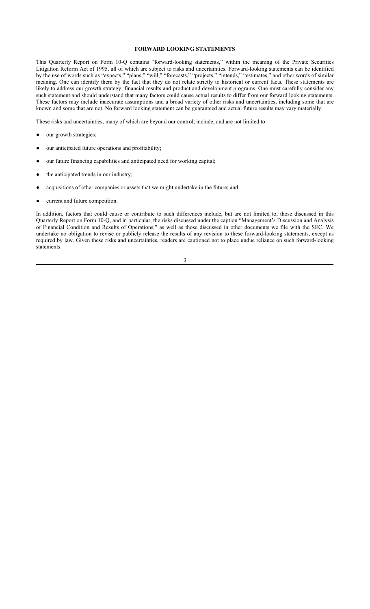#### **FORWARD LOOKING STATEMENTS**

This Quarterly Report on Form 10-Q contains "forward-looking statements," within the meaning of the Private Securities Litigation Reform Act of 1995, all of which are subject to risks and uncertainties. Forward-looking statements can be identified by the use of words such as "expects," "plans," "will," "forecasts," "projects," "intends," "estimates," and other words of similar meaning. One can identify them by the fact that they do not relate strictly to historical or current facts. These statements are likely to address our growth strategy, financial results and product and development programs. One must carefully consider any such statement and should understand that many factors could cause actual results to differ from our forward looking statements. These factors may include inaccurate assumptions and a broad variety of other risks and uncertainties, including some that are known and some that are not. No forward looking statement can be guaranteed and actual future results may vary materially.

These risks and uncertainties, many of which are beyond our control, include, and are not limited to:

- our growth strategies;
- our anticipated future operations and profitability;
- our future financing capabilities and anticipated need for working capital;
- the anticipated trends in our industry;
- acquisitions of other companies or assets that we might undertake in the future; and
- current and future competition.

In addition, factors that could cause or contribute to such differences include, but are not limited to, those discussed in this Quarterly Report on Form 10-Q, and in particular, the risks discussed under the caption "Management's Discussion and Analysis of Financial Condition and Results of Operations," as well as those discussed in other documents we file with the SEC. We undertake no obligation to revise or publicly release the results of any revision to these forward-looking statements, except as required by law. Given these risks and uncertainties, readers are cautioned not to place undue reliance on such forward-looking statements.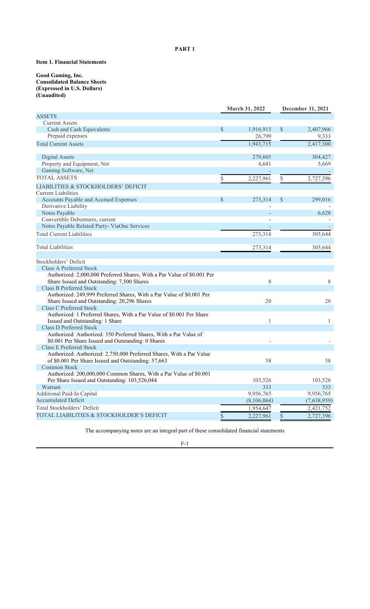## **PART 1**

## **Item 1. Financial Statements**

**Good Gaming, Inc. Consolidated Balance Sheets (Expressed in U.S. Dollars) (Unaudited)**

|                                                                               |              | March 31, 2022 | December 31, 2021 |              |  |
|-------------------------------------------------------------------------------|--------------|----------------|-------------------|--------------|--|
| <b>ASSETS</b>                                                                 |              |                |                   |              |  |
| <b>Current Assets</b>                                                         |              |                |                   |              |  |
| Cash and Cash Equivalents                                                     | $\sqrt{\ }$  | 1,916,915      | \$                | 2,407,966    |  |
| Prepaid expenses                                                              |              | 26,799         |                   | 9,333        |  |
| <b>Total Current Assets</b>                                                   |              | 1,943,715      |                   | 2,417,300    |  |
|                                                                               |              |                |                   |              |  |
| <b>Digital Assets</b>                                                         |              | 279,605        |                   | 304,427      |  |
| Property and Equipment, Net                                                   |              | 4,641          |                   | 5,669        |  |
| Gaming Software, Net                                                          |              |                |                   |              |  |
| <b>TOTAL ASSETS</b>                                                           | \$           | 2,227,961      | \$                | 2,727,396    |  |
| <b>LIABILITIES &amp; STOCKHOLDERS' DEFICIT</b>                                |              |                |                   |              |  |
| <b>Current Liabilities</b>                                                    |              |                |                   |              |  |
| Accounts Payable and Accrued Expenses                                         | $\mathbb{S}$ | 273,314        | \$                | 299,016      |  |
| Derivative Liability                                                          |              |                |                   |              |  |
| Notes Payable                                                                 |              |                |                   | 6,628        |  |
| Convertible Debentures, current                                               |              |                |                   |              |  |
| Notes Payable Related Party- ViaOne Services                                  |              |                |                   |              |  |
| <b>Total Current Liabilities</b>                                              |              | 273,314        |                   | 305,644      |  |
|                                                                               |              |                |                   |              |  |
| <b>Total Liabilities</b>                                                      |              | 273,314        |                   | 305,644      |  |
|                                                                               |              |                |                   |              |  |
| Stockholders' Deficit                                                         |              |                |                   |              |  |
| Class A Preferred Stock                                                       |              |                |                   |              |  |
| Authorized: 2,000,000 Preferred Shares, With a Par Value of \$0.001 Per       |              |                |                   |              |  |
| Share Issued and Outstanding: 7,500 Shares                                    |              | 8              |                   | 8            |  |
| Class B Preferred Stock                                                       |              |                |                   |              |  |
| Authorized: 249,999 Preferred Shares, With a Par Value of \$0.001 Per         |              | 20             |                   | 20           |  |
| Share Issued and Outstanding: 20,296 Shares<br><b>Class C Preferred Stock</b> |              |                |                   |              |  |
| Authorized: 1 Preferred Shares, With a Par Value of \$0.001 Per Share         |              |                |                   |              |  |
| Issued and Outstanding: 1 Share                                               |              | 1              |                   | $\mathbf{1}$ |  |
| Class D Preferred Stock                                                       |              |                |                   |              |  |
| Authorized: Authorized: 350 Preferred Shares, With a Par Value of             |              |                |                   |              |  |
| \$0.001 Per Share Issued and Outstanding: 0 Shares                            |              |                |                   |              |  |
| <b>Class E Preferred Stock</b>                                                |              |                |                   |              |  |
| Authorized: Authorized: 2,750,000 Preferred Shares, With a Par Value          |              |                |                   |              |  |
| of \$0.001 Per Share Issued and Outstanding: 57,663                           |              | 58             |                   | 58           |  |
| <b>Common Stock</b>                                                           |              |                |                   |              |  |
| Authorized: 200,000,000 Common Shares, With a Par Value of \$0.001            |              |                |                   |              |  |
| Per Share Issued and Outstanding: 103,526,044                                 |              | 103,526        |                   | 103,526      |  |
| Warrant                                                                       |              | 333            |                   | 333          |  |
| Additional Paid-In Capital                                                    |              | 9,956,765      |                   | 9,956,765    |  |
| <b>Accumulated Deficit</b>                                                    |              | (8,106,064)    |                   | (7,638,959)  |  |
| Total Stockholders' Deficit                                                   |              | 1,954,647      |                   | 2,421,752    |  |
| TOTAL LIABILITIES & STOCKHOLDER'S DEFICIT                                     | \$           | 2,227,961      | $\mathbb{S}$      | 2,727,396    |  |
|                                                                               |              |                |                   |              |  |

The accompanying notes are an integral part of these consolidated financial statements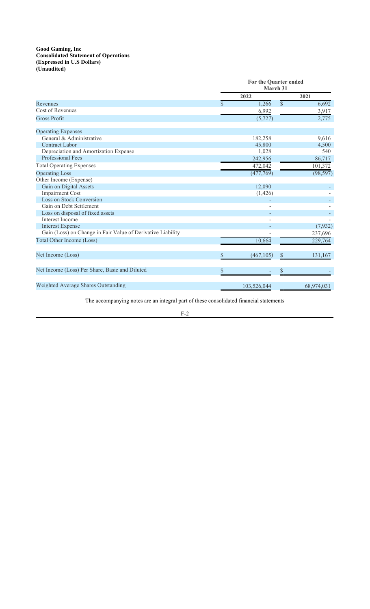#### **Good Gaming, Inc Consolidated Statement of Operations (Expressed in U.S Dollars) (Unaudited)**

|                                                             |    | For the Quarter ended<br>March 31 |         |            |
|-------------------------------------------------------------|----|-----------------------------------|---------|------------|
|                                                             |    | 2022                              |         | 2021       |
| Revenues                                                    | \$ | 1,266                             | $\sqrt$ | 6,692      |
| Cost of Revenues                                            |    | 6,992                             |         | 3,917      |
| <b>Gross Profit</b>                                         |    | (5, 727)                          |         | 2,775      |
| <b>Operating Expenses</b>                                   |    |                                   |         |            |
| General & Administrative                                    |    | 182,258                           |         | 9,616      |
| <b>Contract Labor</b>                                       |    | 45,800                            |         | 4,500      |
| Depreciation and Amortization Expense                       |    | 1,028                             |         | 540        |
| Professional Fees                                           |    | 242,956                           |         | 86,717     |
| <b>Total Operating Expenses</b>                             |    | 472,042                           |         | 101,372    |
| <b>Operating Loss</b>                                       |    | (477,769)                         |         | (98, 597)  |
| Other Income (Expense)                                      |    |                                   |         |            |
| Gain on Digital Assets                                      |    | 12,090                            |         |            |
| <b>Impairment Cost</b>                                      |    | (1, 426)                          |         |            |
| Loss on Stock Conversion                                    |    |                                   |         |            |
| Gain on Debt Settlement                                     |    |                                   |         |            |
| Loss on disposal of fixed assets                            |    |                                   |         |            |
| Interest Income                                             |    |                                   |         |            |
| <b>Interest Expense</b>                                     |    |                                   |         | (7, 932)   |
| Gain (Loss) on Change in Fair Value of Derivative Liability |    |                                   |         | 237,696    |
| Total Other Income (Loss)                                   |    | 10,664                            |         | 229,764    |
| Net Income (Loss)                                           | S  | (467, 105)                        | \$      | 131,167    |
| Net Income (Loss) Per Share, Basic and Diluted              | \$ |                                   | \$      |            |
| Weighted Average Shares Outstanding                         |    | 103,526,044                       |         | 68,974,031 |

The accompanying notes are an integral part of these consolidated financial statements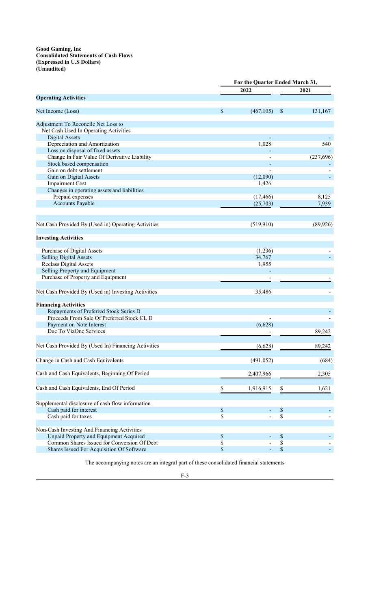**Good Gaming, Inc Consolidated Statements of Cash Flows (Expressed in U.S Dollars) (Unaudited)**

|                                                     | For the Quarter Ended March 31, |            |      |            |  |  |  |
|-----------------------------------------------------|---------------------------------|------------|------|------------|--|--|--|
|                                                     |                                 | 2022       | 2021 |            |  |  |  |
| <b>Operating Activities</b>                         |                                 |            |      |            |  |  |  |
|                                                     |                                 |            |      |            |  |  |  |
| Net Income (Loss)                                   | \$                              | (467, 105) | -S   | 131,167    |  |  |  |
|                                                     |                                 |            |      |            |  |  |  |
| Adjustment To Reconcile Net Loss to                 |                                 |            |      |            |  |  |  |
| Net Cash Used In Operating Activities               |                                 |            |      |            |  |  |  |
| Digital Assets<br>Depreciation and Amortization     |                                 | 1,028      |      | 540        |  |  |  |
| Loss on disposal of fixed assets                    |                                 |            |      |            |  |  |  |
| Change In Fair Value Of Derivative Liability        |                                 |            |      | (237, 696) |  |  |  |
| Stock based compensation                            |                                 |            |      |            |  |  |  |
| Gain on debt settlement                             |                                 |            |      |            |  |  |  |
| Gain on Digital Assets                              |                                 | (12,090)   |      |            |  |  |  |
| <b>Impairment Cost</b>                              |                                 | 1,426      |      |            |  |  |  |
| Changes in operating assets and liabilities         |                                 |            |      |            |  |  |  |
| Prepaid expenses                                    |                                 | (17, 466)  |      | 8,125      |  |  |  |
| <b>Accounts Payable</b>                             |                                 | (25,703)   |      | 7,939      |  |  |  |
|                                                     |                                 |            |      |            |  |  |  |
|                                                     |                                 |            |      |            |  |  |  |
| Net Cash Provided By (Used in) Operating Activities |                                 | (519,910)  |      | (89, 926)  |  |  |  |
|                                                     |                                 |            |      |            |  |  |  |
| <b>Investing Activities</b>                         |                                 |            |      |            |  |  |  |
|                                                     |                                 |            |      |            |  |  |  |
| Purchase of Digital Assets                          |                                 | (1,236)    |      |            |  |  |  |
| <b>Selling Digital Assets</b>                       |                                 | 34,767     |      |            |  |  |  |
| <b>Reclass Digital Assets</b>                       |                                 | 1,955      |      |            |  |  |  |
| Selling Property and Equipment                      |                                 |            |      |            |  |  |  |
| Purchase of Property and Equipment                  |                                 |            |      |            |  |  |  |
|                                                     |                                 |            |      |            |  |  |  |
| Net Cash Provided By (Used in) Investing Activities |                                 | 35,486     |      |            |  |  |  |
|                                                     |                                 |            |      |            |  |  |  |
| <b>Financing Activities</b>                         |                                 |            |      |            |  |  |  |
| Repayments of Preferred Stock Series D              |                                 |            |      |            |  |  |  |
| Proceeds From Sale Of Preferred Stock CL D          |                                 |            |      |            |  |  |  |
| Payment on Note Interest                            |                                 | (6,628)    |      |            |  |  |  |
| Due To ViaOne Services                              |                                 |            |      | 89,242     |  |  |  |
|                                                     |                                 |            |      |            |  |  |  |
| Net Cash Provided By (Used In) Financing Activities |                                 | (6,628)    |      | 89,242     |  |  |  |
|                                                     |                                 |            |      |            |  |  |  |
| Change in Cash and Cash Equivalents                 |                                 | (491, 052) |      | (684)      |  |  |  |
|                                                     |                                 |            |      |            |  |  |  |
| Cash and Cash Equivalents, Beginning Of Period      |                                 | 2,407,966  |      | 2,305      |  |  |  |
|                                                     |                                 |            |      |            |  |  |  |
| Cash and Cash Equivalents, End Of Period            | \$                              | 1,916,915  | \$   | 1,621      |  |  |  |
|                                                     |                                 |            |      |            |  |  |  |
| Supplemental disclosure of cash flow information    |                                 |            |      |            |  |  |  |
| Cash paid for interest                              | \$                              |            | \$   |            |  |  |  |
| Cash paid for taxes                                 | \$                              |            | \$   |            |  |  |  |
|                                                     |                                 |            |      |            |  |  |  |
| Non-Cash Investing And Financing Activities         |                                 |            |      |            |  |  |  |
| Unpaid Property and Equipment Acquired              | \$                              |            | \$   |            |  |  |  |
| Common Shares Issued for Conversion Of Debt         | \$                              |            | \$   |            |  |  |  |
| Shares Issued For Acquisition Of Software           | \$                              |            | \$   |            |  |  |  |

The accompanying notes are an integral part of these consolidated financial statements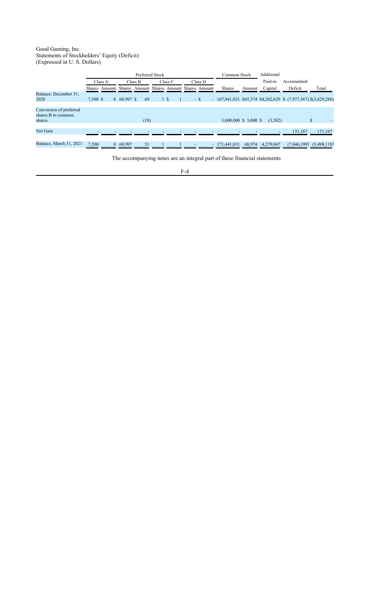#### Good Gaming, Inc. Statements of Stockholders' Equity (Deficit) (Expressed in U. S. Dollars)

|                                                         | Preferred Stock |         |             |                                                         |         |    |  |         | Common Stock          |        | Additional |                                                                  |                             |  |
|---------------------------------------------------------|-----------------|---------|-------------|---------------------------------------------------------|---------|----|--|---------|-----------------------|--------|------------|------------------------------------------------------------------|-----------------------------|--|
|                                                         |                 | Class A |             | Class B                                                 | Class C |    |  | Class D |                       |        | Paid-in    | Accumulated                                                      |                             |  |
|                                                         |                 |         |             | Shares Amount Shares Amount Shares Amount Shares Amount |         |    |  |         | <b>Shares</b>         | Amount | Capital    | Deficit                                                          | Total                       |  |
| Balance, December 31,<br>2020                           | 7.500 \$        |         | 8 68,997 \$ | -69                                                     |         | 1S |  | $-$ S   |                       |        |            | $-167,841,031$ \$65,374 \$4,282,629 \$ (7,977,367) \$(3,629,286) |                             |  |
| Conversion of preferred<br>shares B to common<br>shares |                 |         |             | (18)                                                    |         |    |  |         | 3,600,000 \$ 3,600 \$ |        | (3,582)    |                                                                  |                             |  |
| Net Gain                                                |                 |         |             |                                                         |         |    |  |         |                       |        |            | 131,167                                                          | 131,167                     |  |
| Balance, March 31, 2021                                 | 7,500           |         | 8 68,997    | 51                                                      |         |    |  |         | $-171.441.031$        | 68,974 | 4.279,047  |                                                                  | $(7,846,199)$ $(3,498,118)$ |  |

The accompanying notes are an integral part of these financial statements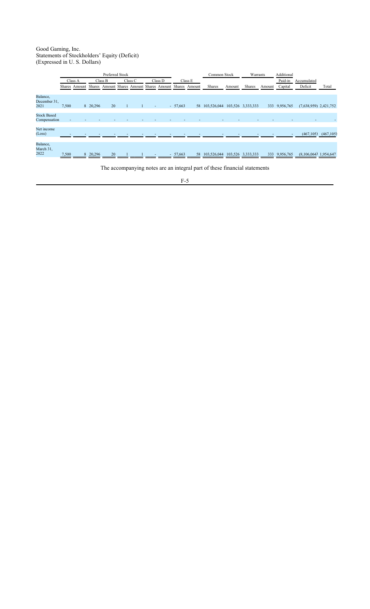#### Good Gaming, Inc. Statements of Stockholders' Equity (Deficit) (Expressed in U. S. Dollars)

|                                    | Preferred Stock          |         |          |         |  |         |   |         | Common Stock |                                                                       | Warrants                      |        | Additional |        |               |                         |           |
|------------------------------------|--------------------------|---------|----------|---------|--|---------|---|---------|--------------|-----------------------------------------------------------------------|-------------------------------|--------|------------|--------|---------------|-------------------------|-----------|
|                                    |                          | Class A |          | Class B |  | Class C |   | Class D |              | Class E                                                               |                               |        |            |        | Paid-in       | Accumulated             |           |
|                                    |                          |         |          |         |  |         |   |         |              | Shares Amount Shares Amount Shares Amount Shares Amount Shares Amount | Shares                        | Amount | Shares     | Amount | Capital       | Deficit                 | Total     |
| Balance,<br>December 31,<br>2021   | 7,500                    |         | 8 20,296 | 20      |  |         | ٠ |         | $-57,663$    | 58                                                                    | 103,526,044 103,526 3,333,333 |        |            | 333    | 9,956,765     | $(7,638,959)$ 2,421,752 |           |
| <b>Stock Based</b><br>Compensation | $\overline{\phantom{a}}$ |         |          |         |  |         |   |         |              |                                                                       |                               |        |            |        |               |                         |           |
| Net income<br>(Loss)               |                          |         |          |         |  |         |   |         |              |                                                                       |                               |        |            |        |               | (467, 105)              | (467,105) |
| Balance,<br>March 31,<br>2022      | 7,500                    |         | 8 20,296 | 20      |  |         |   |         | $-57,663$    | 58                                                                    | 103,526,044 103,526 3,333,333 |        |            |        | 333 9,956,765 | $(8,106,064)$ 1,954,647 |           |

The accompanying notes are an integral part of these financial statements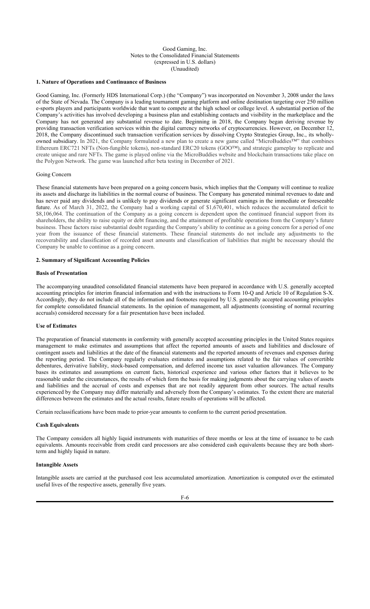#### Good Gaming, Inc. Notes to the Consolidated Financial Statements (expressed in U.S. dollars) (Unaudited)

#### **1. Nature of Operations and Continuance of Business**

Good Gaming, Inc. (Formerly HDS International Corp.) (the "Company") was incorporated on November 3, 2008 under the laws of the State of Nevada. The Company is a leading tournament gaming platform and online destination targeting over 250 million e-sports players and participants worldwide that want to compete at the high school or college level. A substantial portion of the Company's activities has involved developing a business plan and establishing contacts and visibility in the marketplace and the Company has not generated any substantial revenue to date. Beginning in 2018, the Company began deriving revenue by providing transaction verification services within the digital currency networks of cryptocurrencies. However, on December 12, 2018, the Company discontinued such transaction verification services by dissolving Crypto Strategies Group, Inc., its whollyowned subsidiary. In 2021, the Company formulated a new plan to create a new game called "MicroBuddies™" that combines Ethereum ERC721 NFTs (Non-fungible tokens), non-standard ERC20 tokens (GOO™), and strategic gameplay to replicate and create unique and rare NFTs. The game is played online via the MicroBuddies website and blockchain transactions take place on the Polygon Network. The game was launched after beta testing in December of 2021.

#### Going Concern

These financial statements have been prepared on a going concern basis, which implies that the Company will continue to realize its assets and discharge its liabilities in the normal course of business. The Company has generated minimal revenues to date and has never paid any dividends and is unlikely to pay dividends or generate significant earnings in the immediate or foreseeable future. As of March 31, 2022, the Company had a working capital of \$1,670,401, which reduces the accumulated deficit to \$8,106,064. The continuation of the Company as a going concern is dependent upon the continued financial support from its shareholders, the ability to raise equity or debt financing, and the attainment of profitable operations from the Company's future business. These factors raise substantial doubt regarding the Company's ability to continue as a going concern for a period of one year from the issuance of these financial statements. These financial statements do not include any adjustments to the recoverability and classification of recorded asset amounts and classification of liabilities that might be necessary should the Company be unable to continue as a going concern.

#### **2. Summary of Significant Accounting Policies**

#### **Basis of Presentation**

The accompanying unaudited consolidated financial statements have been prepared in accordance with U.S. generally accepted accounting principles for interim financial information and with the instructions to Form 10-Q and Article 10 of Regulation S-X. Accordingly, they do not include all of the information and footnotes required by U.S. generally accepted accounting principles for complete consolidated financial statements. In the opinion of management, all adjustments (consisting of normal recurring accruals) considered necessary for a fair presentation have been included.

#### **Use of Estimates**

The preparation of financial statements in conformity with generally accepted accounting principles in the United States requires management to make estimates and assumptions that affect the reported amounts of assets and liabilities and disclosure of contingent assets and liabilities at the date of the financial statements and the reported amounts of revenues and expenses during the reporting period. The Company regularly evaluates estimates and assumptions related to the fair values of convertible debentures, derivative liability, stock-based compensation, and deferred income tax asset valuation allowances. The Company bases its estimates and assumptions on current facts, historical experience and various other factors that it believes to be reasonable under the circumstances, the results of which form the basis for making judgments about the carrying values of assets and liabilities and the accrual of costs and expenses that are not readily apparent from other sources. The actual results experienced by the Company may differ materially and adversely from the Company's estimates. To the extent there are material differences between the estimates and the actual results, future results of operations will be affected.

Certain reclassifications have been made to prior-year amounts to conform to the current period presentation.

#### **Cash Equivalents**

The Company considers all highly liquid instruments with maturities of three months or less at the time of issuance to be cash equivalents. Amounts receivable from credit card processors are also considered cash equivalents because they are both shortterm and highly liquid in nature.

#### **Intangible Assets**

Intangible assets are carried at the purchased cost less accumulated amortization. Amortization is computed over the estimated useful lives of the respective assets, generally five years.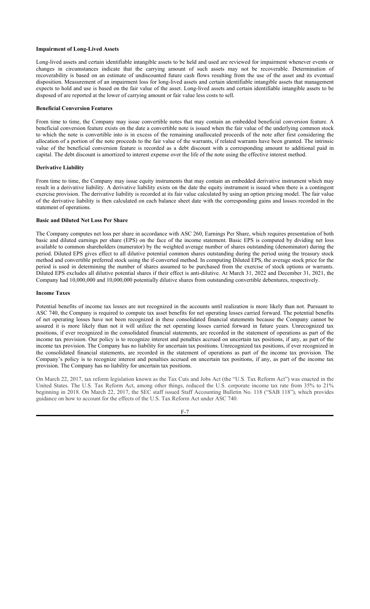#### **Impairment of Long-Lived Assets**

Long-lived assets and certain identifiable intangible assets to be held and used are reviewed for impairment whenever events or changes in circumstances indicate that the carrying amount of such assets may not be recoverable. Determination of recoverability is based on an estimate of undiscounted future cash flows resulting from the use of the asset and its eventual disposition. Measurement of an impairment loss for long-lived assets and certain identifiable intangible assets that management expects to hold and use is based on the fair value of the asset. Long-lived assets and certain identifiable intangible assets to be disposed of are reported at the lower of carrying amount or fair value less costs to sell.

#### **Beneficial Conversion Features**

From time to time, the Company may issue convertible notes that may contain an embedded beneficial conversion feature. A beneficial conversion feature exists on the date a convertible note is issued when the fair value of the underlying common stock to which the note is convertible into is in excess of the remaining unallocated proceeds of the note after first considering the allocation of a portion of the note proceeds to the fair value of the warrants, if related warrants have been granted. The intrinsic value of the beneficial conversion feature is recorded as a debt discount with a corresponding amount to additional paid in capital. The debt discount is amortized to interest expense over the life of the note using the effective interest method.

#### **Derivative Liability**

From time to time, the Company may issue equity instruments that may contain an embedded derivative instrument which may result in a derivative liability. A derivative liability exists on the date the equity instrument is issued when there is a contingent exercise provision. The derivative liability is recorded at its fair value calculated by using an option pricing model. The fair value of the derivative liability is then calculated on each balance sheet date with the corresponding gains and losses recorded in the statement of operations.

#### **Basic and Diluted Net Loss Per Share**

The Company computes net loss per share in accordance with ASC 260, Earnings Per Share, which requires presentation of both basic and diluted earnings per share (EPS) on the face of the income statement. Basic EPS is computed by dividing net loss available to common shareholders (numerator) by the weighted average number of shares outstanding (denominator) during the period. Diluted EPS gives effect to all dilutive potential common shares outstanding during the period using the treasury stock method and convertible preferred stock using the if-converted method. In computing Diluted EPS, the average stock price for the period is used in determining the number of shares assumed to be purchased from the exercise of stock options or warrants. Diluted EPS excludes all dilutive potential shares if their effect is anti-dilutive. At March 31, 2022 and December 31, 2021, the Company had 10,000,000 and 10,000,000 potentially dilutive shares from outstanding convertible debentures, respectively.

#### **Income Taxes**

Potential benefits of income tax losses are not recognized in the accounts until realization is more likely than not. Pursuant to ASC 740, the Company is required to compute tax asset benefits for net operating losses carried forward. The potential benefits of net operating losses have not been recognized in these consolidated financial statements because the Company cannot be assured it is more likely than not it will utilize the net operating losses carried forward in future years. Unrecognized tax positions, if ever recognized in the consolidated financial statements, are recorded in the statement of operations as part of the income tax provision. Our policy is to recognize interest and penalties accrued on uncertain tax positions, if any, as part of the income tax provision. The Company has no liability for uncertain tax positions. Unrecognized tax positions, if ever recognized in the consolidated financial statements, are recorded in the statement of operations as part of the income tax provision. The Company's policy is to recognize interest and penalties accrued on uncertain tax positions, if any, as part of the income tax provision. The Company has no liability for uncertain tax positions.

On March 22, 2017, tax reform legislation known as the Tax Cuts and Jobs Act (the "U.S. Tax Reform Act") was enacted in the United States. The U.S. Tax Reform Act, among other things, reduced the U.S. corporate income tax rate from 35% to 21% beginning in 2018. On March 22, 2017, the SEC staff issued Staff Accounting Bulletin No. 118 ("SAB 118"), which provides guidance on how to account for the effects of the U.S. Tax Reform Act under ASC 740.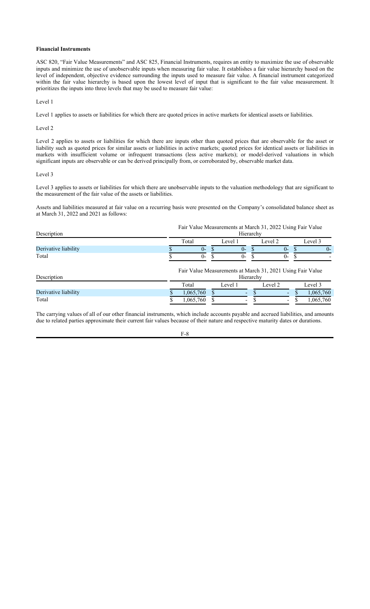#### **Financial Instruments**

ASC 820, "Fair Value Measurements" and ASC 825, Financial Instruments, requires an entity to maximize the use of observable inputs and minimize the use of unobservable inputs when measuring fair value. It establishes a fair value hierarchy based on the level of independent, objective evidence surrounding the inputs used to measure fair value. A financial instrument categorized within the fair value hierarchy is based upon the lowest level of input that is significant to the fair value measurement. It prioritizes the inputs into three levels that may be used to measure fair value:

Level 1

Level 1 applies to assets or liabilities for which there are quoted prices in active markets for identical assets or liabilities.

Level 2

Level 2 applies to assets or liabilities for which there are inputs other than quoted prices that are observable for the asset or liability such as quoted prices for similar assets or liabilities in active markets; quoted prices for identical assets or liabilities in markets with insufficient volume or infrequent transactions (less active markets); or model-derived valuations in which significant inputs are observable or can be derived principally from, or corroborated by, observable market data.

#### Level 3

Level 3 applies to assets or liabilities for which there are unobservable inputs to the valuation methodology that are significant to the measurement of the fair value of the assets or liabilities.

Assets and liabilities measured at fair value on a recurring basis were presented on the Company's consolidated balance sheet as at March 31, 2022 and 2021 as follows:

|                      | Fair Value Measurements at March 31, 2022 Using Fair Value |                                                            |  |                          |           |                          |  |           |  |
|----------------------|------------------------------------------------------------|------------------------------------------------------------|--|--------------------------|-----------|--------------------------|--|-----------|--|
| Description          |                                                            | Hierarchy                                                  |  |                          |           |                          |  |           |  |
|                      |                                                            | Total                                                      |  | Level 1                  | Level 2   |                          |  | Level 3   |  |
| Derivative liability |                                                            | $0-$                                                       |  | $0-$                     |           | $0-$                     |  | $()$ -    |  |
| Total                |                                                            | 0-                                                         |  | $0 -$                    |           | $0 -$                    |  |           |  |
| Description          |                                                            | Fair Value Measurements at March 31, 2021 Using Fair Value |  |                          | Hierarchy |                          |  |           |  |
|                      |                                                            | Total                                                      |  | Level 1                  | Level 2   |                          |  | Level 3   |  |
| Derivative liability |                                                            | 1,065,760                                                  |  |                          |           | $\overline{\phantom{0}}$ |  | 1,065,760 |  |
| Total                |                                                            | 1,065,760                                                  |  | $\overline{\phantom{a}}$ |           | $\overline{\phantom{a}}$ |  | 1.065.760 |  |

The carrying values of all of our other financial instruments, which include accounts payable and accrued liabilities, and amounts due to related parties approximate their current fair values because of their nature and respective maturity dates or durations.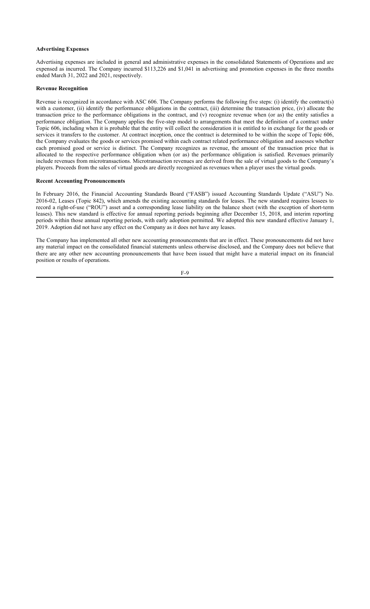#### **Advertising Expenses**

Advertising expenses are included in general and administrative expenses in the consolidated Statements of Operations and are expensed as incurred. The Company incurred \$113,226 and \$1,041 in advertising and promotion expenses in the three months ended March 31, 2022 and 2021, respectively.

#### **Revenue Recognition**

Revenue is recognized in accordance with ASC 606. The Company performs the following five steps: (i) identify the contract(s) with a customer, (ii) identify the performance obligations in the contract, (iii) determine the transaction price, (iv) allocate the transaction price to the performance obligations in the contract, and (v) recognize revenue when (or as) the entity satisfies a performance obligation. The Company applies the five-step model to arrangements that meet the definition of a contract under Topic 606, including when it is probable that the entity will collect the consideration it is entitled to in exchange for the goods or services it transfers to the customer. At contract inception, once the contract is determined to be within the scope of Topic 606, the Company evaluates the goods or services promised within each contract related performance obligation and assesses whether each promised good or service is distinct. The Company recognizes as revenue, the amount of the transaction price that is allocated to the respective performance obligation when (or as) the performance obligation is satisfied. Revenues primarily include revenues from microtransactions. Microtransaction revenues are derived from the sale of virtual goods to the Company's players. Proceeds from the sales of virtual goods are directly recognized as revenues when a player uses the virtual goods.

#### **Recent Accounting Pronouncements**

In February 2016, the Financial Accounting Standards Board ("FASB") issued Accounting Standards Update ("ASU") No. 2016-02, Leases (Topic 842), which amends the existing accounting standards for leases. The new standard requires lessees to record a right-of-use ("ROU") asset and a corresponding lease liability on the balance sheet (with the exception of short-term leases). This new standard is effective for annual reporting periods beginning after December 15, 2018, and interim reporting periods within those annual reporting periods, with early adoption permitted. We adopted this new standard effective January 1, 2019. Adoption did not have any effect on the Company as it does not have any leases.

The Company has implemented all other new accounting pronouncements that are in effect. These pronouncements did not have any material impact on the consolidated financial statements unless otherwise disclosed, and the Company does not believe that there are any other new accounting pronouncements that have been issued that might have a material impact on its financial position or results of operations.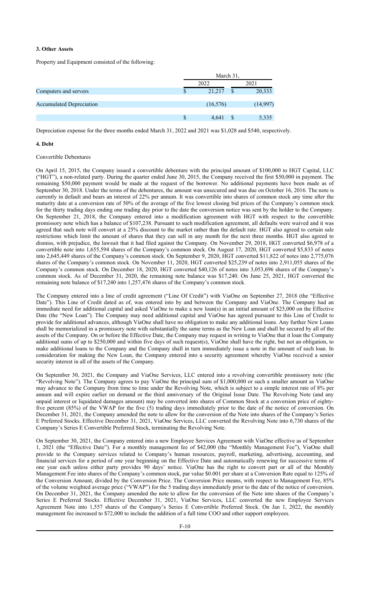#### **3. Other Assets**

Property and Equipment consisted of the following:

|                                 | March 31, |   |          |
|---------------------------------|-----------|---|----------|
|                                 | 2022      |   | 2021     |
| Computers and servers           | 21,217    | S | 20,333   |
|                                 |           |   |          |
| <b>Accumulated Depreciation</b> | (16, 576) |   | (14,997) |
|                                 |           |   |          |
|                                 | 4,641     |   | 5,335    |
|                                 |           |   |          |

Depreciation expense for the three months ended March 31, 2022 and 2021 was \$1,028 and \$540, respectively.

#### **4. Debt**

#### Convertible Debentures

On April 15, 2015, the Company issued a convertible debenture with the principal amount of \$100,000 to HGT Capital, LLC ("HGT"), a non-related party. During the quarter ended June 30, 2015, the Company received the first \$50,000 in payment. The remaining \$50,000 payment would be made at the request of the borrower. No additional payments have been made as of September 30, 2018. Under the terms of the debentures, the amount was unsecured and was due on October 16, 2016. The note is currently in default and bears an interest of 22% per annum. It was convertible into shares of common stock any time after the maturity date at a conversion rate of 50% of the average of the five lowest closing bid prices of the Company's common stock for the thirty trading days ending one trading day prior to the date the conversion notice was sent by the holder to the Company. On September 21, 2018, the Company entered into a modification agreement with HGT with respect to the convertible promissory note which has a balance of \$107,238. Pursuant to such modification agreement, all defaults were waived and it was agreed that such note will convert at a 25% discount to the market rather than the default rate. HGT also agreed to certain sale restrictions which limit the amount of shares that they can sell in any month for the next three months. HGT also agreed to dismiss, with prejudice, the lawsuit that it had filed against the Company. On November 29, 2018, HGT converted \$6,978 of a convertible note into 1,655,594 shares of the Company's common stock. On August 17, 2020, HGT converted \$5,833 of notes into 2,645,449 shares of the Company's common stock. On September 9, 2020, HGT converted \$11,822 of notes into 2,775,076 shares of the Company's common stock. On November 11, 2020, HGT converted \$25,239 of notes into 2,911,055 shares of the Company's common stock. On December 18, 2020, HGT converted \$40,126 of notes into 3,053,696 shares of the Company's common stock. As of December 31, 2020, the remaining note balance was \$17,240. On June 25, 2021, HGT converted the remaining note balance of \$17,240 into 1,257,476 shares of the Company's common stock.

The Company entered into a line of credit agreement ("Line Of Credit") with ViaOne on September 27, 2018 (the "Effective Date"). This Line of Credit dated as of, was entered into by and between the Company and ViaOne. The Company had an immediate need for additional capital and asked ViaOne to make a new loan(s) in an initial amount of \$25,000 on the Effective Date (the "New Loan"). The Company may need additional capital and ViaOne has agreed pursuant to this Line of Credit to provide for additional advances, although ViaOne shall have no obligation to make any additional loans. Any further New Loans shall be memorialized in a promissory note with substantially the same terms as the New Loan and shall be secured by all of the assets of the Company. On or before the Effective Date, the Company may request in writing to ViaOne that it loan the Company additional sums of up to \$250,000 and within five days of such request(s), ViaOne shall have the right, but not an obligation, to make additional loans to the Company and the Company shall in turn immediately issue a note in the amount of such loan. In consideration for making the New Loan, the Company entered into a security agreement whereby ViaOne received a senior security interest in all of the assets of the Company.

On September 30, 2021, the Company and ViaOne Services, LLC entered into a revolving convertible promissory note (the "Revolving Note"). The Company agrees to pay ViaOne the principal sum of \$1,000,000 or such a smaller amount as ViaOne may advance to the Company from time to time under the Revolving Note, which is subject to a simple interest rate of 8% per annum and will expire earlier on demand or the third anniversary of the Original Issue Date. The Revolving Note (and any unpaid interest or liquidated damages amount) may be converted into shares of Common Stock at a conversion price of eightyfive percent (85%) of the VWAP for the five (5) trading days immediately prior to the date of the notice of conversion. On December 31, 2021, the Company amended the note to allow for the conversion of the Note into shares of the Company's Series E Preferred Stocks. Effective December 31, 2021, ViaOne Services, LLC converted the Revolving Note into 6,730 shares of the Company's Series E Convertible Preferred Stock, terminating the Revolving Note.

On September 30, 2021, the Company entered into a new Employee Services Agreement with ViaOne effective as of September 1, 2021 (the "Effective Date"). For a monthly management fee of \$42,000 (the "Monthly Management Fee"), ViaOne shall provide to the Company services related to Company's human resources, payroll, marketing, advertising, accounting, and financial services for a period of one year beginning on the Effective Date and automatically renewing for successive terms of one year each unless either party provides 90 days' notice. ViaOne has the right to convert part or all of the Monthly Management Fee into shares of the Company's common stock, par value \$0.001 per share at a Conversion Rate equal to 125% of the Conversion Amount, divided by the Conversion Price. The Conversion Price means, with respect to Management Fee, 85% of the volume weighted average price ("VWAP") for the 5 trading days immediately prior to the date of the notice of conversion. On December 31, 2021, the Company amended the note to allow for the conversion of the Note into shares of the Company's Series E Preferred Stocks. Effective December 31, 2021, ViaOne Services, LLC converted the new Employee Services Agreement Note into 1,557 shares of the Company's Series E Convertible Preferred Stock. On Jan 1, 2022, the monthly management fee increased to \$72,000 to include the addition of a full time COO and other support employees.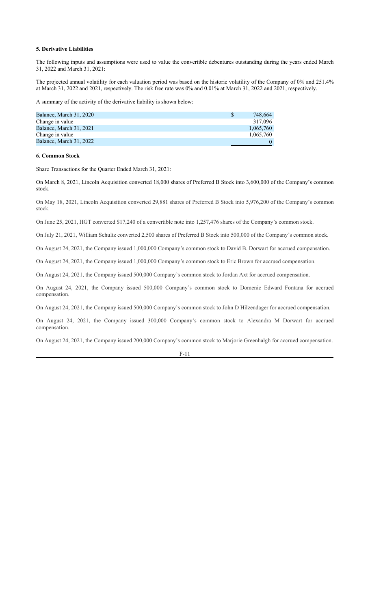#### **5. Derivative Liabilities**

The following inputs and assumptions were used to value the convertible debentures outstanding during the years ended March 31, 2022 and March 31, 2021:

The projected annual volatility for each valuation period was based on the historic volatility of the Company of 0% and 251.4% at March 31, 2022 and 2021, respectively. The risk free rate was 0% and 0.01% at March 31, 2022 and 2021, respectively.

A summary of the activity of the derivative liability is shown below:

| Balance, March 31, 2020 | 748,664   |
|-------------------------|-----------|
| Change in value         | 317.096   |
| Balance, March 31, 2021 | 1.065.760 |
| Change in value         | 1,065,760 |
| Balance, March 31, 2022 |           |

#### **6. Common Stock**

Share Transactions for the Quarter Ended March 31, 2021:

On March 8, 2021, Lincoln Acquisition converted 18,000 shares of Preferred B Stock into 3,600,000 of the Company's common stock.

On May 18, 2021, Lincoln Acquisition converted 29,881 shares of Preferred B Stock into 5,976,200 of the Company's common stock.

On June 25, 2021, HGT converted \$17,240 of a convertible note into 1,257,476 shares of the Company's common stock.

On July 21, 2021, William Schultz converted 2,500 shares of Preferred B Stock into 500,000 of the Company's common stock.

On August 24, 2021, the Company issued 1,000,000 Company's common stock to David B. Dorwart for accrued compensation.

On August 24, 2021, the Company issued 1,000,000 Company's common stock to Eric Brown for accrued compensation.

On August 24, 2021, the Company issued 500,000 Company's common stock to Jordan Axt for accrued compensation.

On August 24, 2021, the Company issued 500,000 Company's common stock to Domenic Edward Fontana for accrued compensation.

On August 24, 2021, the Company issued 500,000 Company's common stock to John D Hilzendager for accrued compensation.

On August 24, 2021, the Company issued 300,000 Company's common stock to Alexandra M Dorwart for accrued compensation.

On August 24, 2021, the Company issued 200,000 Company's common stock to Marjorie Greenhalgh for accrued compensation.

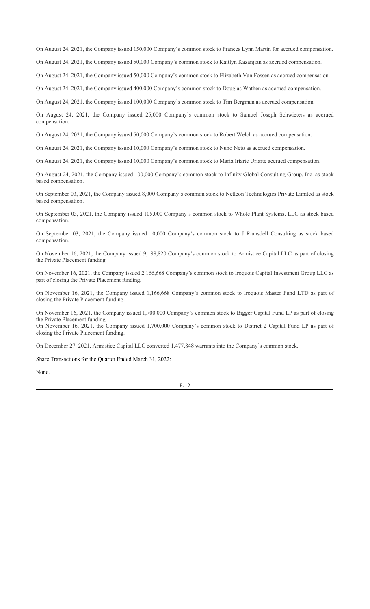On August 24, 2021, the Company issued 150,000 Company's common stock to Frances Lynn Martin for accrued compensation.

On August 24, 2021, the Company issued 50,000 Company's common stock to Kaitlyn Kazanjian as accrued compensation.

On August 24, 2021, the Company issued 50,000 Company's common stock to Elizabeth Van Fossen as accrued compensation.

On August 24, 2021, the Company issued 400,000 Company's common stock to Douglas Wathen as accrued compensation.

On August 24, 2021, the Company issued 100,000 Company's common stock to Tim Bergman as accrued compensation.

On August 24, 2021, the Company issued 25,000 Company's common stock to Samuel Joseph Schwieters as accrued compensation.

On August 24, 2021, the Company issued 50,000 Company's common stock to Robert Welch as accrued compensation.

On August 24, 2021, the Company issued 10,000 Company's common stock to Nuno Neto as accrued compensation.

On August 24, 2021, the Company issued 10,000 Company's common stock to Maria Iriarte Uriarte accrued compensation.

On August 24, 2021, the Company issued 100,000 Company's common stock to Infinity Global Consulting Group, Inc. as stock based compensation.

On September 03, 2021, the Company issued 8,000 Company's common stock to Netleon Technologies Private Limited as stock based compensation.

On September 03, 2021, the Company issued 105,000 Company's common stock to Whole Plant Systems, LLC as stock based compensation.

On September 03, 2021, the Company issued 10,000 Company's common stock to J Ramsdell Consulting as stock based compensation.

On November 16, 2021, the Company issued 9,188,820 Company's common stock to Armistice Capital LLC as part of closing the Private Placement funding.

On November 16, 2021, the Company issued 2,166,668 Company's common stock to Iroquois Capital Investment Group LLC as part of closing the Private Placement funding.

On November 16, 2021, the Company issued 1,166,668 Company's common stock to Iroquois Master Fund LTD as part of closing the Private Placement funding.

On November 16, 2021, the Company issued 1,700,000 Company's common stock to Bigger Capital Fund LP as part of closing the Private Placement funding.

On November 16, 2021, the Company issued 1,700,000 Company's common stock to District 2 Capital Fund LP as part of closing the Private Placement funding.

On December 27, 2021, Armistice Capital LLC converted 1,477,848 warrants into the Company's common stock.

Share Transactions for the Quarter Ended March 31, 2022:

None.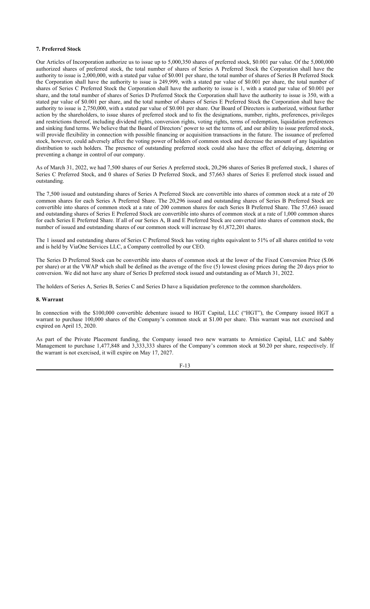#### **7. Preferred Stock**

Our Articles of Incorporation authorize us to issue up to 5,000,350 shares of preferred stock, \$0.001 par value. Of the 5,000,000 authorized shares of preferred stock, the total number of shares of Series A Preferred Stock the Corporation shall have the authority to issue is 2,000,000, with a stated par value of \$0.001 per share, the total number of shares of Series B Preferred Stock the Corporation shall have the authority to issue is 249,999, with a stated par value of \$0.001 per share, the total number of shares of Series C Preferred Stock the Corporation shall have the authority to issue is 1, with a stated par value of \$0.001 per share, and the total number of shares of Series D Preferred Stock the Corporation shall have the authority to issue is 350, with a stated par value of \$0.001 per share, and the total number of shares of Series E Preferred Stock the Corporation shall have the authority to issue is 2,750,000, with a stated par value of \$0.001 per share. Our Board of Directors is authorized, without further action by the shareholders, to issue shares of preferred stock and to fix the designations, number, rights, preferences, privileges and restrictions thereof, including dividend rights, conversion rights, voting rights, terms of redemption, liquidation preferences and sinking fund terms. We believe that the Board of Directors' power to set the terms of, and our ability to issue preferred stock, will provide flexibility in connection with possible financing or acquisition transactions in the future. The issuance of preferred stock, however, could adversely affect the voting power of holders of common stock and decrease the amount of any liquidation distribution to such holders. The presence of outstanding preferred stock could also have the effect of delaying, deterring or preventing a change in control of our company.

As of March 31, 2022, we had 7,500 shares of our Series A preferred stock, 20,296 shares of Series B preferred stock, 1 shares of Series C Preferred Stock, and 0 shares of Series D Preferred Stock, and 57,663 shares of Series E preferred stock issued and outstanding.

The 7,500 issued and outstanding shares of Series A Preferred Stock are convertible into shares of common stock at a rate of 20 common shares for each Series A Preferred Share. The 20,296 issued and outstanding shares of Series B Preferred Stock are convertible into shares of common stock at a rate of 200 common shares for each Series B Preferred Share. The 57,663 issued and outstanding shares of Series E Preferred Stock are convertible into shares of common stock at a rate of 1,000 common shares for each Series E Preferred Share. If all of our Series A, B and E Preferred Stock are converted into shares of common stock, the number of issued and outstanding shares of our common stock will increase by 61,872,201 shares.

The 1 issued and outstanding shares of Series C Preferred Stock has voting rights equivalent to 51% of all shares entitled to vote and is held by ViaOne Services LLC, a Company controlled by our CEO.

The Series D Preferred Stock can be convertible into shares of common stock at the lower of the Fixed Conversion Price (\$.06 per share) or at the VWAP which shall be defined as the average of the five (5) lowest closing prices during the 20 days prior to conversion. We did not have any share of Series D preferred stock issued and outstanding as of March 31, 2022.

The holders of Series A, Series B, Series C and Series D have a liquidation preference to the common shareholders.

#### **8. Warrant**

In connection with the \$100,000 convertible debenture issued to HGT Capital, LLC ("HGT"), the Company issued HGT a warrant to purchase 100,000 shares of the Company's common stock at \$1.00 per share. This warrant was not exercised and expired on April 15, 2020.

As part of the Private Placement funding, the Company issued two new warrants to Armistice Capital, LLC and Sabby Management to purchase 1,477,848 and 3,333,333 shares of the Company's common stock at \$0.20 per share, respectively. If the warrant is not exercised, it will expire on May 17, 2027.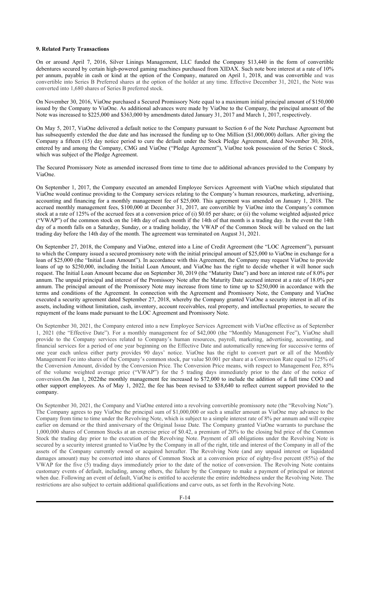#### **9. Related Party Transactions**

On or around April 7, 2016, Silver Linings Management, LLC funded the Company \$13,440 in the form of convertible debentures secured by certain high-powered gaming machines purchased from XIDAX. Such note bore interest at a rate of 10% per annum, payable in cash or kind at the option of the Company, matured on April 1, 2018, and was convertible and was convertible into Series B Preferred shares at the option of the holder at any time. Effective December 31, 2021, the Note was converted into 1,680 shares of Series B preferred stock.

On November 30, 2016, ViaOne purchased a Secured Promissory Note equal to a maximum initial principal amount of \$150,000 issued by the Company to ViaOne. As additional advances were made by ViaOne to the Company, the principal amount of the Note was increased to \$225,000 and \$363,000 by amendments dated January 31, 2017 and March 1, 2017, respectively.

On May 5, 2017, ViaOne delivered a default notice to the Company pursuant to Section 6 of the Note Purchase Agreement but has subsequently extended the due date and has increased the funding up to One Million (\$1,000,000) dollars. After giving the Company a fifteen (15) day notice period to cure the default under the Stock Pledge Agreement, dated November 30, 2016, entered by and among the Company, CMG and ViaOne ("Pledge Agreement"), ViaOne took possession of the Series C Stock, which was subject of the Pledge Agreement.

The Secured Promissory Note as amended increased from time to time due to additional advances provided to the Company by ViaOne.

On September 1, 2017, the Company executed an amended Employee Services Agreement with ViaOne which stipulated that ViaOne would continue providing to the Company services relating to the Company's human resources, marketing, advertising, accounting and financing for a monthly management fee of \$25,000. This agreement was amended on January 1, 2018. The accrued monthly management fees, \$100,000 at December 31, 2017, are convertible by ViaOne into the Company's common stock at a rate of 125% of the accrued fees at a conversion price of (i) \$0.05 per share; or (ii) the volume weighted adjusted price ("VWAP") of the common stock on the 14th day of each month if the 14th of that month is a trading day. In the event the 14th day of a month falls on a Saturday, Sunday, or a trading holiday, the VWAP of the Common Stock will be valued on the last trading day before the 14th day of the month. The agreement was terminated on August 31, 2021.

On September 27, 2018, the Company and ViaOne, entered into a Line of Credit Agreement (the "LOC Agreement"), pursuant to which the Company issued a secured promissory note with the initial principal amount of \$25,000 to ViaOne in exchange for a loan of \$25,000 (the "Initial Loan Amount"). In accordance with this Agreement, the Company may request ViaOne to provide loans of up to \$250,000, including the Initial Loan Amount, and ViaOne has the right to decide whether it will honor such request. The Initial Loan Amount became due on September 30, 2019 (the "Maturity Date") and bore an interest rate of 8.0% per annum. The unpaid principal and interest of the Promissory Note after the Maturity Date accrued interest at a rate of 18.0% per annum. The principal amount of the Promissory Note may increase from time to time up to \$250,000 in accordance with the terms and conditions of the Agreement. In connection with the Agreement and Promissory Note, the Company and ViaOne executed a security agreement dated September 27, 2018, whereby the Company granted ViaOne a security interest in all of its assets, including without limitation, cash, inventory, account receivables, real property, and intellectual properties, to secure the repayment of the loans made pursuant to the LOC Agreement and Promissory Note.

On September 30, 2021, the Company entered into a new Employee Services Agreement with ViaOne effective as of September 1, 2021 (the "Effective Date"). For a monthly management fee of \$42,000 (the "Monthly Management Fee"), ViaOne shall provide to the Company services related to Company's human resources, payroll, marketing, advertising, accounting, and financial services for a period of one year beginning on the Effective Date and automatically renewing for successive terms of one year each unless either party provides 90 days' notice. ViaOne has the right to convert part or all of the Monthly Management Fee into shares of the Company's common stock, par value \$0.001 per share at a Conversion Rate equal to 125% of the Conversion Amount, divided by the Conversion Price. The Conversion Price means, with respect to Management Fee, 85% of the volume weighted average price ("VWAP") for the 5 trading days immediately prior to the date of the notice of conversion.On Jan 1, 2022the monthly management fee increased to \$72,000 to include the addition of a full time COO and other support employees. As of May 1, 2022, the fee has been revised to \$38,640 to reflect current support provided to the company.

On September 30, 2021, the Company and ViaOne entered into a revolving convertible promissory note (the "Revolving Note"). The Company agrees to pay ViaOne the principal sum of \$1,000,000 or such a smaller amount as ViaOne may advance to the Company from time to time under the Revolving Note, which is subject to a simple interest rate of 8% per annum and will expire earlier on demand or the third anniversary of the Original Issue Date. The Company granted ViaOne warrants to purchase the 1,000,000 shares of Common Stocks at an exercise price of \$0.42, a premium of 20% to the closing bid price of the Common Stock the trading day prior to the execution of the Revolving Note. Payment of all obligations under the Revolving Note is secured by a security interest granted to ViaOne by the Company in all of the right, title and interest of the Company in all of the assets of the Company currently owned or acquired hereafter. The Revolving Note (and any unpaid interest or liquidated damages amount) may be converted into shares of Common Stock at a conversion price of eighty-five percent (85%) of the VWAP for the five (5) trading days immediately prior to the date of the notice of conversion. The Revolving Note contains customary events of default, including, among others, the failure by the Company to make a payment of principal or interest when due. Following an event of default, ViaOne is entitled to accelerate the entire indebtedness under the Revolving Note. The restrictions are also subject to certain additional qualifications and carve outs, as set forth in the Revolving Note.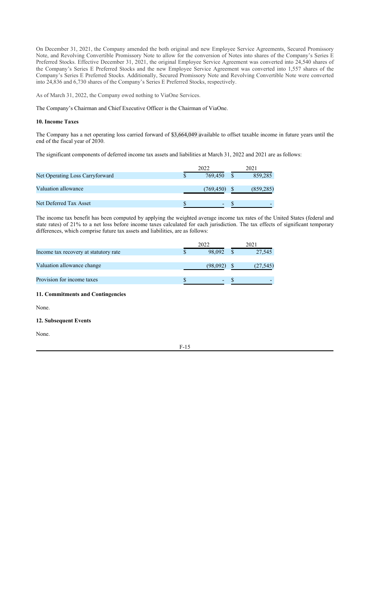On December 31, 2021, the Company amended the both original and new Employee Service Agreements, Secured Promissory Note, and Revolving Convertible Promissory Note to allow for the conversion of Notes into shares of the Company's Series E Preferred Stocks. Effective December 31, 2021, the original Employee Service Agreement was converted into 24,540 shares of the Company's Series E Preferred Stocks and the new Employee Service Agreement was converted into 1,557 shares of the Company's Series E Preferred Stocks. Additionally, Secured Promissory Note and Revolving Convertible Note were converted into 24,836 and 6,730 shares of the Company's Series E Preferred Stocks, respectively.

As of March 31, 2022, the Company owed nothing to ViaOne Services.

The Company's Chairman and Chief Executive Officer is the Chairman of ViaOne.

#### **10. Income Taxes**

The Company has a net operating loss carried forward of \$3,664,049 available to offset taxable income in future years until the end of the fiscal year of 2030.

The significant components of deferred income tax assets and liabilities at March 31, 2022 and 2021 are as follows:

|                                 | 2022       |               | 2021       |
|---------------------------------|------------|---------------|------------|
| Net Operating Loss Carryforward | 769,450    | <sup>\$</sup> | 859,285    |
|                                 |            |               |            |
| Valuation allowance             | (769, 450) |               | (859, 285) |
|                                 |            |               |            |
| Net Deferred Tax Asset          |            |               |            |

The income tax benefit has been computed by applying the weighted average income tax rates of the United States (federal and state rates) of 21% to a net loss before income taxes calculated for each jurisdiction. The tax effects of significant temporary differences, which comprise future tax assets and liabilities, are as follows:

|                                       | 2022     | 2021      |
|---------------------------------------|----------|-----------|
| Income tax recovery at statutory rate | 98,092   | 27,545    |
|                                       |          |           |
| Valuation allowance change            | (98,092) | (27, 545) |
|                                       |          |           |
| Provision for income taxes            | -        |           |
|                                       |          |           |

## **11. Commitments and Contingencies**

None.

#### **12. Subsequent Events**

None.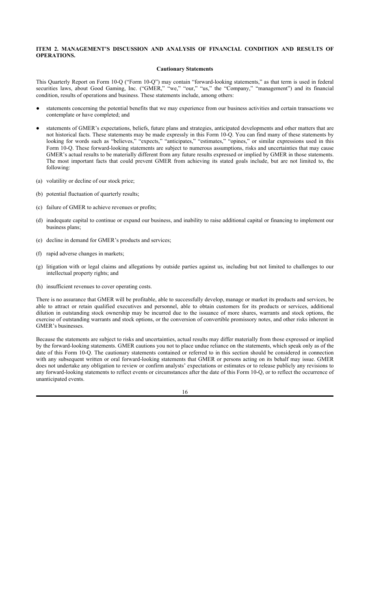#### **ITEM 2. MANAGEMENT'S DISCUSSION AND ANALYSIS OF FINANCIAL CONDITION AND RESULTS OF OPERATIONS.**

#### **Cautionary Statements**

This Quarterly Report on Form 10-Q ("Form 10-Q") may contain "forward-looking statements," as that term is used in federal securities laws, about Good Gaming, Inc. ("GMER," "we," "our," "us," the "Company," "management") and its financial condition, results of operations and business. These statements include, among others:

- statements concerning the potential benefits that we may experience from our business activities and certain transactions we contemplate or have completed; and
- statements of GMER's expectations, beliefs, future plans and strategies, anticipated developments and other matters that are not historical facts. These statements may be made expressly in this Form 10-Q. You can find many of these statements by looking for words such as "believes," "expects," "anticipates," "estimates," "opines," or similar expressions used in this Form 10-Q. These forward-looking statements are subject to numerous assumptions, risks and uncertainties that may cause GMER's actual results to be materially different from any future results expressed or implied by GMER in those statements. The most important facts that could prevent GMER from achieving its stated goals include, but are not limited to, the following:
- (a) volatility or decline of our stock price;
- (b) potential fluctuation of quarterly results;
- (c) failure of GMER to achieve revenues or profits;
- (d) inadequate capital to continue or expand our business, and inability to raise additional capital or financing to implement our business plans;
- (e) decline in demand for GMER's products and services;
- (f) rapid adverse changes in markets;
- (g) litigation with or legal claims and allegations by outside parties against us, including but not limited to challenges to our intellectual property rights; and
- (h) insufficient revenues to cover operating costs.

There is no assurance that GMER will be profitable, able to successfully develop, manage or market its products and services, be able to attract or retain qualified executives and personnel, able to obtain customers for its products or services, additional dilution in outstanding stock ownership may be incurred due to the issuance of more shares, warrants and stock options, the exercise of outstanding warrants and stock options, or the conversion of convertible promissory notes, and other risks inherent in GMER's businesses.

Because the statements are subject to risks and uncertainties, actual results may differ materially from those expressed or implied by the forward-looking statements. GMER cautions you not to place undue reliance on the statements, which speak only as of the date of this Form 10-Q. The cautionary statements contained or referred to in this section should be considered in connection with any subsequent written or oral forward-looking statements that GMER or persons acting on its behalf may issue. GMER does not undertake any obligation to review or confirm analysts' expectations or estimates or to release publicly any revisions to any forward-looking statements to reflect events or circumstances after the date of this Form 10-Q, or to reflect the occurrence of unanticipated events.

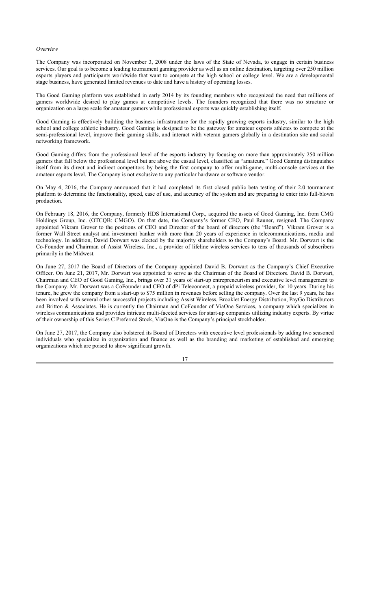*Overview*

The Company was incorporated on November 3, 2008 under the laws of the State of Nevada, to engage in certain business services. Our goal is to become a leading tournament gaming provider as well as an online destination, targeting over 250 million esports players and participants worldwide that want to compete at the high school or college level. We are a developmental stage business, have generated limited revenues to date and have a history of operating losses.

The Good Gaming platform was established in early 2014 by its founding members who recognized the need that millions of gamers worldwide desired to play games at competitive levels. The founders recognized that there was no structure or organization on a large scale for amateur gamers while professional esports was quickly establishing itself.

Good Gaming is effectively building the business infrastructure for the rapidly growing esports industry, similar to the high school and college athletic industry. Good Gaming is designed to be the gateway for amateur esports athletes to compete at the semi-professional level, improve their gaming skills, and interact with veteran gamers globally in a destination site and social networking framework.

Good Gaming differs from the professional level of the esports industry by focusing on more than approximately 250 million gamers that fall below the professional level but are above the casual level, classified as "amateurs." Good Gaming distinguishes itself from its direct and indirect competitors by being the first company to offer multi-game, multi-console services at the amateur esports level. The Company is not exclusive to any particular hardware or software vendor.

On May 4, 2016, the Company announced that it had completed its first closed public beta testing of their 2.0 tournament platform to determine the functionality, speed, ease of use, and accuracy of the system and are preparing to enter into full-blown production.

On February 18, 2016, the Company, formerly HDS International Corp., acquired the assets of Good Gaming, Inc. from CMG Holdings Group, Inc. (OTCQB: CMGO). On that date, the Company's former CEO, Paul Rauner, resigned. The Company appointed Vikram Grover to the positions of CEO and Director of the board of directors (the "Board"). Vikram Grover is a former Wall Street analyst and investment banker with more than 20 years of experience in telecommunications, media and technology. In addition, David Dorwart was elected by the majority shareholders to the Company's Board. Mr. Dorwart is the Co-Founder and Chairman of Assist Wireless, Inc., a provider of lifeline wireless services to tens of thousands of subscribers primarily in the Midwest.

On June 27, 2017 the Board of Directors of the Company appointed David B. Dorwart as the Company's Chief Executive Officer. On June 21, 2017, Mr. Dorwart was appointed to serve as the Chairman of the Board of Directors. David B. Dorwart, Chairman and CEO of Good Gaming, Inc., brings over 31 years of start-up entrepreneurism and executive level management to the Company. Mr. Dorwart was a CoFounder and CEO of dPi Teleconnect, a prepaid wireless provider, for 10 years. During his tenure, he grew the company from a start-up to \$75 million in revenues before selling the company. Over the last 9 years, he has been involved with several other successful projects including Assist Wireless, Brooklet Energy Distribution, PayGo Distributors and Britton & Associates. He is currently the Chairman and CoFounder of ViaOne Services, a company which specializes in wireless communications and provides intricate multi-faceted services for start-up companies utilizing industry experts. By virtue of their ownership of this Series C Preferred Stock, ViaOne is the Company's principal stockholder.

On June 27, 2017, the Company also bolstered its Board of Directors with executive level professionals by adding two seasoned individuals who specialize in organization and finance as well as the branding and marketing of established and emerging organizations which are poised to show significant growth.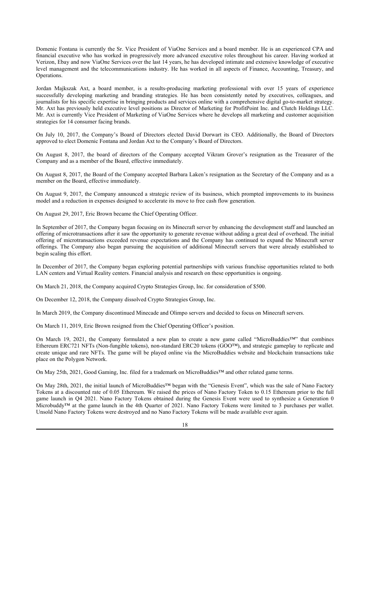Domenic Fontana is currently the Sr. Vice President of ViaOne Services and a board member. He is an experienced CPA and financial executive who has worked in progressively more advanced executive roles throughout his career. Having worked at Verizon, Ebay and now ViaOne Services over the last 14 years, he has developed intimate and extensive knowledge of executive level management and the telecommunications industry. He has worked in all aspects of Finance, Accounting, Treasury, and Operations.

Jordan Majkszak Axt, a board member, is a results-producing marketing professional with over 15 years of experience successfully developing marketing and branding strategies. He has been consistently noted by executives, colleagues, and journalists for his specific expertise in bringing products and services online with a comprehensive digital go-to-market strategy. Mr. Axt has previously held executive level positions as Director of Marketing for ProfitPoint Inc. and Clutch Holdings LLC. Mr. Axt is currently Vice President of Marketing of ViaOne Services where he develops all marketing and customer acquisition strategies for 14 consumer facing brands.

On July 10, 2017, the Company's Board of Directors elected David Dorwart its CEO. Additionally, the Board of Directors approved to elect Domenic Fontana and Jordan Axt to the Company's Board of Directors.

On August 8, 2017, the board of directors of the Company accepted Vikram Grover's resignation as the Treasurer of the Company and as a member of the Board, effective immediately.

On August 8, 2017, the Board of the Company accepted Barbara Laken's resignation as the Secretary of the Company and as a member on the Board, effective immediately.

On August 9, 2017, the Company announced a strategic review of its business, which prompted improvements to its business model and a reduction in expenses designed to accelerate its move to free cash flow generation.

On August 29, 2017, Eric Brown became the Chief Operating Officer.

In September of 2017, the Company began focusing on its Minecraft server by enhancing the development staff and launched an offering of microtransactions after it saw the opportunity to generate revenue without adding a great deal of overhead. The initial offering of microtransactions exceeded revenue expectations and the Company has continued to expand the Minecraft server offerings. The Company also began pursuing the acquisition of additional Minecraft servers that were already established to begin scaling this effort.

In December of 2017, the Company began exploring potential partnerships with various franchise opportunities related to both LAN centers and Virtual Reality centers. Financial analysis and research on these opportunities is ongoing.

On March 21, 2018, the Company acquired Crypto Strategies Group, Inc. for consideration of \$500.

On December 12, 2018, the Company dissolved Crypto Strategies Group, Inc.

In March 2019, the Company discontinued Minecade and Olimpo servers and decided to focus on Minecraft servers.

On March 11, 2019, Eric Brown resigned from the Chief Operating Officer's position.

On March 19, 2021, the Company formulated a new plan to create a new game called "MicroBuddies™" that combines Ethereum ERC721 NFTs (Non-fungible tokens), non-standard ERC20 tokens (GOO™), and strategic gameplay to replicate and create unique and rare NFTs. The game will be played online via the MicroBuddies website and blockchain transactions take place on the Polygon Network.

On May 25th, 2021, Good Gaming, Inc. filed for a trademark on MicroBuddies™ and other related game terms.

On May 28th, 2021, the initial launch of MicroBuddies™ began with the "Genesis Event", which was the sale of Nano Factory Tokens at a discounted rate of 0.05 Ethereum. We raised the prices of Nano Factory Token to 0.15 Ethereum prior to the full game launch in Q4 2021. Nano Factory Tokens obtained during the Genesis Event were used to synthesize a Generation 0 Microbuddy™ at the game launch in the 4th Quarter of 2021. Nano Factory Tokens were limited to 3 purchases per wallet. Unsold Nano Factory Tokens were destroyed and no Nano Factory Tokens will be made available ever again.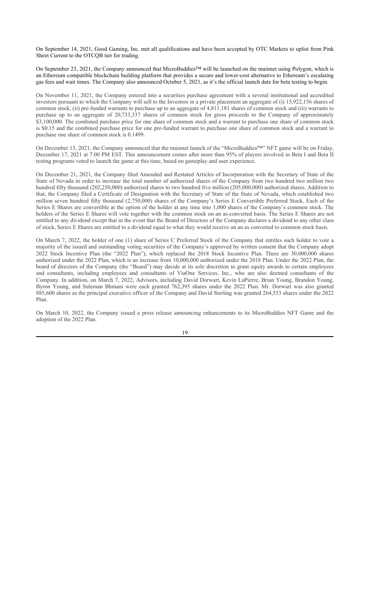On September 14, 2021, Good Gaming, Inc. met all qualifications and have been accepted by OTC Markets to uplist from Pink Sheet Current to the OTCQB tier for trading.

On September 23, 2021, the Company announced that MicroBuddies™ will be launched on the mainnet using Polygon, which is an Ethereum compatible blockchain building platform that provides a secure and lower-cost alternative to Ethereum's escalating gas fees and wait times. The Company also announced October 5, 2021, as it's the official launch date for beta testing to begin.

On November 11, 2021, the Company entered into a securities purchase agreement with a several institutional and accredited investors pursuant to which the Company will sell to the Investors in a private placement an aggregate of (i) 15,922,156 shares of common stock, (ii) pre-funded warrants to purchase up to an aggregate of 4,811,181 shares of common stock and (iii) warrants to purchase up to an aggregate of 20,733,337 shares of common stock for gross proceeds to the Company of approximately \$3,100,000. The combined purchase price for one share of common stock and a warrant to purchase one share of common stock is \$0.15 and the combined purchase price for one pre-funded warrant to purchase one share of common stock and a warrant to purchase one share of common stock is 0.1499.

On December 13, 2021, the Company announced that the mainnet launch of the "MicroBuddies™" NFT game will be on Friday, December 17, 2021 at 7:00 PM EST. This announcement comes after more than 95% of players involved in Beta I and Beta II testing programs voted to launch the game at this time, based on gameplay and user experience.

On December 21, 2021, the Company filed Amended and Restated Articles of Incorporation with the Secretary of State of the State of Nevada in order to increase the total number of authorized shares of the Company from two hundred two million two hundred fifty thousand (202,250,000) authorized shares to two hundred five million (205,000,000) authorized shares. Addition to that, the Company filed a Certificate of Designation with the Secretary of State of the State of Nevada, which established two million seven hundred fifty thousand (2,750,000) shares of the Company's Series E Convertible Preferred Stock. Each of the Series E Shares are convertible at the option of the holder at any time into 1,000 shares of the Company's common stock. The holders of the Series E Shares will vote together with the common stock on an as-converted basis. The Series E Shares are not entitled to any dividend except that in the event that the Board of Directors of the Company declares a dividend to any other class of stock, Series E Shares are entitled to a dividend equal to what they would receive on an as converted to common stock basis.

On March 7, 2022, the holder of one (1) share of Series C Preferred Stock of the Company that entitles such holder to vote a majority of the issued and outstanding voting securities of the Company's approved by written consent that the Company adopt 2022 Stock Incentive Plan (the "2022 Plan"), which replaced the 2018 Stock Incentive Plan. There are 30,000,000 shares authorized under the 2022 Plan, which is an increase from 10,000,000 authorized under the 2018 Plan. Under the 2022 Plan, the board of directors of the Company (the "Board") may decide at its sole discretion to grant equity awards to certain employees and consultants, including employees and consultants of ViaOne Services, Inc., who are also deemed consultants of the Company. In addition, on March 7, 2022, Advisors, including David Dorwart, Kevin LaPierre, Brian Young, Brandon Young, Byron Young, and Suleman Bhmani were each granted 762,395 shares under the 2022 Plan. Mr. Dorwart was also granted 885,600 shares as the principal executive officer of the Company and David Sterling was granted 264,553 shares under the 2022 Plan.

On March 10, 2022, the Company issued a press release announcing enhancements to its MicroBuddies NFT Game and the adoption of the 2022 Plan.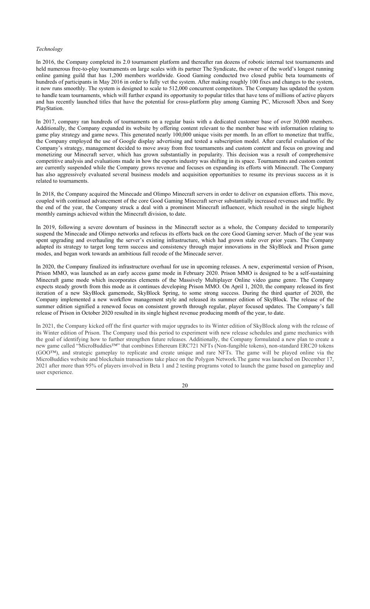#### *Technology*

In 2016, the Company completed its 2.0 tournament platform and thereafter ran dozens of robotic internal test tournaments and held numerous free-to-play tournaments on large scales with its partner The Syndicate, the owner of the world's longest running online gaming guild that has 1,200 members worldwide. Good Gaming conducted two closed public beta tournaments of hundreds of participants in May 2016 in order to fully vet the system. After making roughly 100 fixes and changes to the system, it now runs smoothly. The system is designed to scale to 512,000 concurrent competitors. The Company has updated the system to handle team tournaments, which will further expand its opportunity to popular titles that have tens of millions of active players and has recently launched titles that have the potential for cross-platform play among Gaming PC, Microsoft Xbox and Sony PlayStation.

In 2017, company ran hundreds of tournaments on a regular basis with a dedicated customer base of over 30,000 members. Additionally, the Company expanded its website by offering content relevant to the member base with information relating to game play strategy and game news. This generated nearly 100,000 unique visits per month. In an effort to monetize that traffic, the Company employed the use of Google display advertising and tested a subscription model. After careful evaluation of the Company's strategy, management decided to move away from free tournaments and custom content and focus on growing and monetizing our Minecraft server, which has grown substantially in popularity. This decision was a result of comprehensive competitive analysis and evaluations made in how the esports industry was shifting in its space. Tournaments and custom content are currently suspended while the Company grows revenue and focuses on expanding its efforts with Minecraft. The Company has also aggressively evaluated several business models and acquisition opportunities to resume its previous success as it is related to tournaments.

In 2018, the Company acquired the Minecade and Olimpo Minecraft servers in order to deliver on expansion efforts. This move, coupled with continued advancement of the core Good Gaming Minecraft server substantially increased revenues and traffic. By the end of the year, the Company struck a deal with a prominent Minecraft influencer, which resulted in the single highest monthly earnings achieved within the Minecraft division, to date.

In 2019, following a severe downturn of business in the Minecraft sector as a whole, the Company decided to temporarily suspend the Minecade and Olimpo networks and refocus its efforts back on the core Good Gaming server. Much of the year was spent upgrading and overhauling the server's existing infrastructure, which had grown stale over prior years. The Company adapted its strategy to target long term success and consistency through major innovations in the SkyBlock and Prison game modes, and began work towards an ambitious full recode of the Minecade server.

In 2020, the Company finalized its infrastructure overhaul for use in upcoming releases. A new, experimental version of Prison, Prison MMO, was launched as an early access game mode in February 2020. Prison MMO is designed to be a self-sustaining Minecraft game mode which incorporates elements of the Massively Multiplayer Online video game genre. The Company expects steady growth from this mode as it continues developing Prison MMO. On April 1, 2020, the company released its first iteration of a new SkyBlock gamemode, SkyBlock Spring, to some strong success. During the third quarter of 2020, the Company implemented a new workflow management style and released its summer edition of SkyBlock. The release of the summer edition signified a renewed focus on consistent growth through regular, player focused updates. The Company's fall release of Prison in October 2020 resulted in its single highest revenue producing month of the year, to date.

In 2021, the Company kicked off the first quarter with major upgrades to its Winter edition of SkyBlock along with the release of its Winter edition of Prison. The Company used this period to experiment with new release schedules and game mechanics with the goal of identifying how to further strengthen future releases. Additionally, the Company formulated a new plan to create a new game called "MicroBuddies™" that combines Ethereum ERC721 NFTs (Non-fungible tokens), non-standard ERC20 tokens (GOO™), and strategic gameplay to replicate and create unique and rare NFTs. The game will be played online via the MicroBuddies website and blockchain transactions take place on the Polygon Network.The game was launched on December 17, 2021 after more than 95% of players involved in Beta 1 and 2 testing programs voted to launch the game based on gameplay and user experience.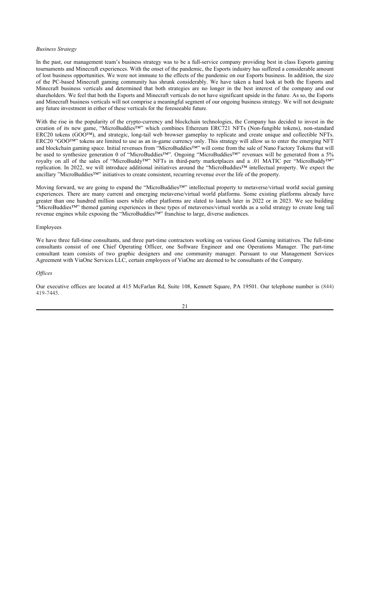#### *Business Strategy*

In the past, our management team's business strategy was to be a full-service company providing best in class Esports gaming tournaments and Minecraft experiences. With the onset of the pandemic, the Esports industry has suffered a considerable amount of lost business opportunities. We were not immune to the effects of the pandemic on our Esports business. In addition, the size of the PC-based Minecraft gaming community has shrunk considerably. We have taken a hard look at both the Esports and Minecraft business verticals and determined that both strategies are no longer in the best interest of the company and our shareholders. We feel that both the Esports and Minecraft verticals do not have significant upside in the future. As so, the Esports and Minecraft business verticals will not comprise a meaningful segment of our ongoing business strategy. We will not designate any future investment in either of these verticals for the foreseeable future.

With the rise in the popularity of the crypto-currency and blockchain technologies, the Company has decided to invest in the creation of its new game, "MicroBuddies™" which combines Ethereum ERC721 NFTs (Non-fungible tokens), non-standard ERC20 tokens (GOO™), and strategic, long-tail web browser gameplay to replicate and create unique and collectible NFTs. ERC20 "GOO™" tokens are limited to use as an in-game currency only. This strategy will allow us to enter the emerging NFT and blockchain gaming space. Initial revenues from "MicroBuddies™" will come from the sale of Nano Factory Tokens that will be used to synthesize generation 0 of "MicroBuddies™". Ongoing "MicroBuddies™" revenues will be generated from a 5% royalty on all of the sales of "MicroBuddy™" NFTs in third-party marketplaces and a .01 MATIC per "MicroBuddy™" replication. In 2022, we will introduce additional initiatives around the "MicroBuddies™ intellectual property. We expect the ancillary "MicroBuddies™" initiatives to create consistent, recurring revenue over the life of the property.

Moving forward, we are going to expand the "MicroBuddies™" intellectual property to metaverse/virtual world social gaming experiences. There are many current and emerging metaverse/virtual world platforms. Some existing platforms already have greater than one hundred million users while other platforms are slated to launch later in 2022 or in 2023. We see building "MicroBuddies™" themed gaming experiences in these types of metaverses/virtual worlds as a solid strategy to create long tail revenue engines while exposing the "MicroBuddies™" franchise to large, diverse audiences.

#### Employees

We have three full-time consultants, and three part-time contractors working on various Good Gaming initiatives. The full-time consultants consist of one Chief Operating Officer, one Software Engineer and one Operations Manager. The part-time consultant team consists of two graphic designers and one community manager. Pursuant to our Management Services Agreement with ViaOne Services LLC, certain employees of ViaOne are deemed to be consultants of the Company.

#### *Offices*

Our executive offices are located at 415 McFarlan Rd, Suite 108, Kennett Square, PA 19501. Our telephone number is (844) 419-7445.

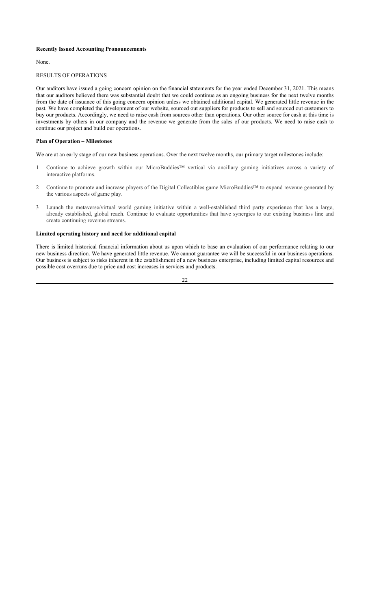#### **Recently Issued Accounting Pronouncements**

None.

### RESULTS OF OPERATIONS

Our auditors have issued a going concern opinion on the financial statements for the year ended December 31, 2021. This means that our auditors believed there was substantial doubt that we could continue as an ongoing business for the next twelve months from the date of issuance of this going concern opinion unless we obtained additional capital. We generated little revenue in the past. We have completed the development of our website, sourced out suppliers for products to sell and sourced out customers to buy our products. Accordingly, we need to raise cash from sources other than operations. Our other source for cash at this time is investments by others in our company and the revenue we generate from the sales of our products. We need to raise cash to continue our project and build our operations.

#### **Plan of Operation – Milestones**

We are at an early stage of our new business operations. Over the next twelve months, our primary target milestones include:

- 1 Continue to achieve growth within our MicroBuddies™ vertical via ancillary gaming initiatives across a variety of interactive platforms.
- 2 Continue to promote and increase players of the Digital Collectibles game MicroBuddies™ to expand revenue generated by the various aspects of game play.
- 3 Launch the metaverse/virtual world gaming initiative within a well-established third party experience that has a large, already established, global reach. Continue to evaluate opportunities that have synergies to our existing business line and create continuing revenue streams.

#### **Limited operating history and need for additional capital**

There is limited historical financial information about us upon which to base an evaluation of our performance relating to our new business direction. We have generated little revenue. We cannot guarantee we will be successful in our business operations. Our business is subject to risks inherent in the establishment of a new business enterprise, including limited capital resources and possible cost overruns due to price and cost increases in services and products.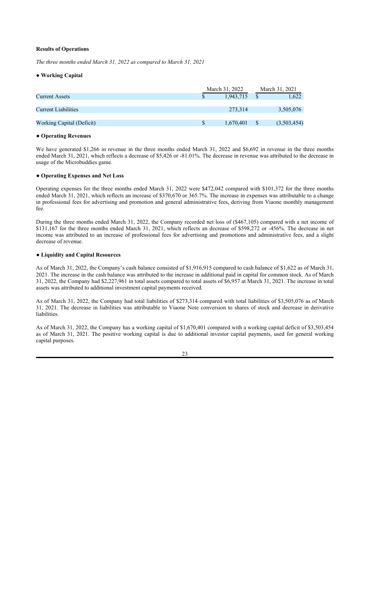#### **Results of Operations**

*The three months ended March 31, 2022 as compared to March 31, 2021*

#### ● **Working Capital**

| March 31, 2022 |           | March 31, 2021 |             |
|----------------|-----------|----------------|-------------|
|                | 1,943,715 |                | 1,622       |
|                |           |                |             |
|                | 273,314   |                | 3,505,076   |
|                |           |                |             |
| S              | 1,670,401 | -S             | (3,503,454) |
|                |           |                |             |

#### ● **Operating Revenues**

We have generated \$1,266 in revenue in the three months ended March 31, 2022 and \$6,692 in revenue in the three months ended March 31, 2021, which reflects a decrease of \$5,426 or -81.01%. The decrease in revenue was attributed to the decrease in usage of the Microbuddies game.

#### ● **Operating Expenses and Net Loss**

Operating expenses for the three months ended March 31, 2022 were \$472,042 compared with \$101,372 for the three months ended March 31, 2021, which reflects an increase of \$370,670 or 365.7%. The increase in expenses was attributable to a change in professional fees for advertising and promotion and general administrative fees, deriving from Viaone monthly management fee.

During the three months ended March 31, 2022, the Company recorded net loss of (\$467,105) compared with a net income of \$131,167 for the three months ended March 31, 2021, which reflects an decrease of \$598,272 or -456%. The decrease in net income was attributed to an increase of professional fees for advertising and promotions and administrative fees, and a slight decrease of revenue.

#### ● **Liquidity and Capital Resources**

As of March 31, 2022, the Company's cash balance consisted of \$1,916,915 compared to cash balance of \$1,622 as of March 31, 2021. The increase in the cash balance was attributed to the increase in additional paid in capital for common stock. As of March 31, 2022, the Company had \$2,227,961 in total assets compared to total assets of \$6,957 at March 31, 2021. The increase in total assets was attributed to additional investment capital payments received.

As of March 31, 2022, the Company had total liabilities of \$273,314 compared with total liabilities of \$3,505,076 as of March 31, 2021. The decrease in liabilities was attributable to Viaone Note conversion to shares of stock and decrease in derivative liabilities.

As of March 31, 2022, the Company has a working capital of \$1,670,401 compared with a working capital deficit of \$3,503,454 as of March 31, 2021. The positive working capital is due to additional investor capital payments, used for general working capital purposes.

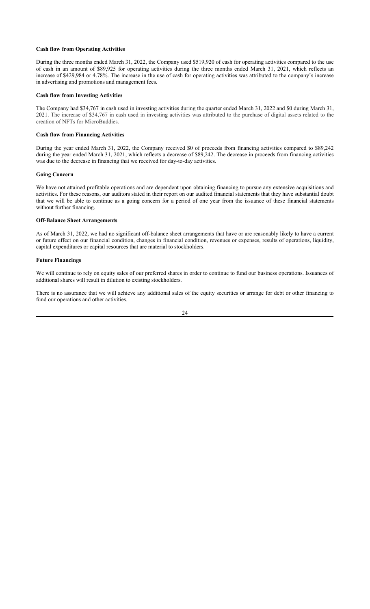#### **Cash flow from Operating Activities**

During the three months ended March 31, 2022, the Company used \$519,920 of cash for operating activities compared to the use of cash in an amount of \$89,925 for operating activities during the three months ended March 31, 2021, which reflects an increase of \$429,984 or 4.78%. The increase in the use of cash for operating activities was attributed to the company's increase in advertising and promotions and management fees.

#### **Cash flow from Investing Activities**

The Company had \$34,767 in cash used in investing activities during the quarter ended March 31, 2022 and \$0 during March 31, 2021. The increase of \$34,767 in cash used in investing activities was attributed to the purchase of digital assets related to the creation of NFTs for MicroBuddies.

#### **Cash flow from Financing Activities**

During the year ended March 31, 2022, the Company received \$0 of proceeds from financing activities compared to \$89,242 during the year ended March 31, 2021, which reflects a decrease of \$89,242. The decrease in proceeds from financing activities was due to the decrease in financing that we received for day-to-day activities.

#### **Going Concern**

We have not attained profitable operations and are dependent upon obtaining financing to pursue any extensive acquisitions and activities. For these reasons, our auditors stated in their report on our audited financial statements that they have substantial doubt that we will be able to continue as a going concern for a period of one year from the issuance of these financial statements without further financing.

#### **Off-Balance Sheet Arrangements**

As of March 31, 2022, we had no significant off-balance sheet arrangements that have or are reasonably likely to have a current or future effect on our financial condition, changes in financial condition, revenues or expenses, results of operations, liquidity, capital expenditures or capital resources that are material to stockholders.

#### **Future Financings**

We will continue to rely on equity sales of our preferred shares in order to continue to fund our business operations. Issuances of additional shares will result in dilution to existing stockholders.

There is no assurance that we will achieve any additional sales of the equity securities or arrange for debt or other financing to fund our operations and other activities.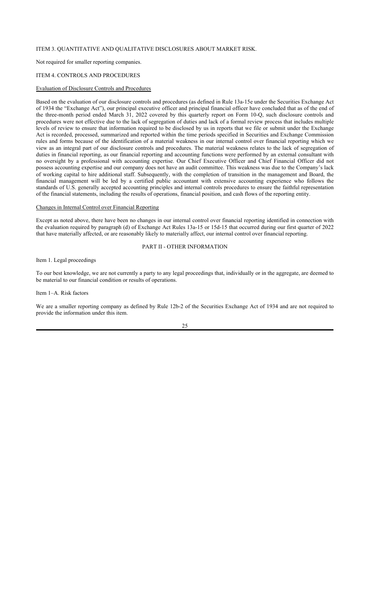### ITEM 3. QUANTITATIVE AND QUALITATIVE DISCLOSURES ABOUT MARKET RISK.

#### Not required for smaller reporting companies.

#### ITEM 4. CONTROLS AND PROCEDURES

#### Evaluation of Disclosure Controls and Procedures

Based on the evaluation of our disclosure controls and procedures (as defined in Rule 13a-15e under the Securities Exchange Act of 1934 the "Exchange Act"), our principal executive officer and principal financial officer have concluded that as of the end of the three-month period ended March 31, 2022 covered by this quarterly report on Form 10-Q, such disclosure controls and procedures were not effective due to the lack of segregation of duties and lack of a formal review process that includes multiple levels of review to ensure that information required to be disclosed by us in reports that we file or submit under the Exchange Act is recorded, processed, summarized and reported within the time periods specified in Securities and Exchange Commission rules and forms because of the identification of a material weakness in our internal control over financial reporting which we view as an integral part of our disclosure controls and procedures. The material weakness relates to the lack of segregation of duties in financial reporting, as our financial reporting and accounting functions were performed by an external consultant with no oversight by a professional with accounting expertise. Our Chief Executive Officer and Chief Financial Officer did not possess accounting expertise and our company does not have an audit committee. This weakness was due to the Company's lack of working capital to hire additional staff. Subsequently, with the completion of transition in the management and Board, the financial management will be led by a certified public accountant with extensive accounting experience who follows the standards of U.S. generally accepted accounting principles and internal controls procedures to ensure the faithful representation of the financial statements, including the results of operations, financial position, and cash flows of the reporting entity.

#### Changes in Internal Control over Financial Reporting

Except as noted above, there have been no changes in our internal control over financial reporting identified in connection with the evaluation required by paragraph (d) of Exchange Act Rules 13a-15 or 15d-15 that occurred during our first quarter of 2022 that have materially affected, or are reasonably likely to materially affect, our internal control over financial reporting.

### PART II - OTHER INFORMATION

Item 1. Legal proceedings

To our best knowledge, we are not currently a party to any legal proceedings that, individually or in the aggregate, are deemed to be material to our financial condition or results of operations.

#### Item 1–A. Risk factors

We are a smaller reporting company as defined by Rule 12b-2 of the Securities Exchange Act of 1934 and are not required to provide the information under this item.

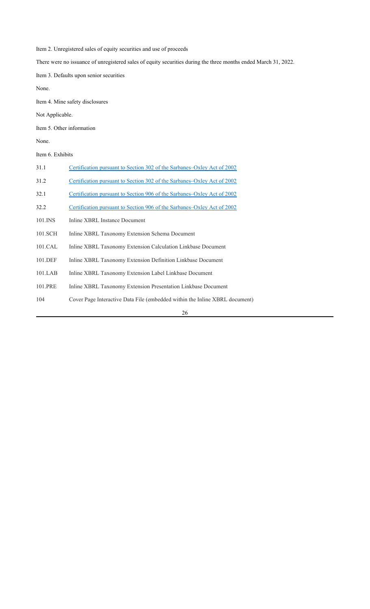Item 2. Unregistered sales of equity securities and use of proceeds

There were no issuance of unregistered sales of equity securities during the three months ended March 31, 2022.

Item 3. Defaults upon senior securities

None.

Item 4. Mine safety disclosures

Not Applicable.

Item 5. Other information

None.

Item 6. Exhibits

| 31.1        | Certification pursuant to Section 302 of the Sarbanes–Oxley Act of 2002     |
|-------------|-----------------------------------------------------------------------------|
| 31.2        | Certification pursuant to Section 302 of the Sarbanes–Oxley Act of 2002     |
| 32.1        | Certification pursuant to Section 906 of the Sarbanes–Oxley Act of 2002     |
| 32.2        | Certification pursuant to Section 906 of the Sarbanes–Oxley Act of 2002     |
| $101$ . INS | Inline XBRL Instance Document                                               |
| 101.SCH     | Inline XBRL Taxonomy Extension Schema Document                              |
| 101.CAL     | Inline XBRL Taxonomy Extension Calculation Linkbase Document                |
| 101.DEF     | Inline XBRL Taxonomy Extension Definition Linkbase Document                 |
| 101.LAB     | Inline XBRL Taxonomy Extension Label Linkbase Document                      |
| 101.PRE     | Inline XBRL Taxonomy Extension Presentation Linkbase Document               |
| 104         | Cover Page Interactive Data File (embedded within the Inline XBRL document) |
|             |                                                                             |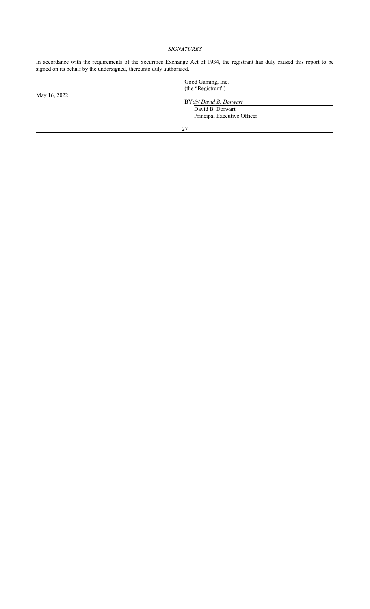## *SIGNATURES*

In accordance with the requirements of the Securities Exchange Act of 1934, the registrant has duly caused this report to be signed on its behalf by the undersigned, thereunto duly authorized.

May 16, 2022

Good Gaming, Inc. (the "Registrant")

BY:*/s/ David B. Dorwart* David B. Dorwart Principal Executive Officer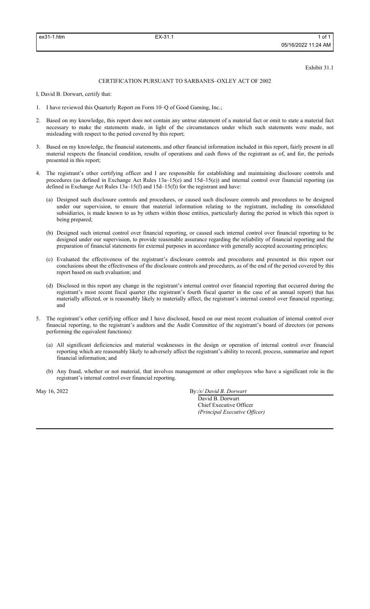Exhibit 31.1

#### CERTIFICATION PURSUANT TO SARBANES–OXLEY ACT OF 2002

I, David B. Dorwart, certify that:

- 1. I have reviewed this Quarterly Report on Form 10–Q of Good Gaming, Inc.;
- 2. Based on my knowledge, this report does not contain any untrue statement of a material fact or omit to state a material fact necessary to make the statements made, in light of the circumstances under which such statements were made, not misleading with respect to the period covered by this report;
- 3. Based on my knowledge, the financial statements, and other financial information included in this report, fairly present in all material respects the financial condition, results of operations and cash flows of the registrant as of, and for, the periods presented in this report;
- 4. The registrant's other certifying officer and I are responsible for establishing and maintaining disclosure controls and procedures (as defined in Exchange Act Rules 13a–15(e) and 15d–15(e)) and internal control over financial reporting (as defined in Exchange Act Rules  $13a-15(f)$  and  $15d-15(f)$ ) for the registrant and have:
	- (a) Designed such disclosure controls and procedures, or caused such disclosure controls and procedures to be designed under our supervision, to ensure that material information relating to the registrant, including its consolidated subsidiaries, is made known to us by others within those entities, particularly during the period in which this report is being prepared;
	- (b) Designed such internal control over financial reporting, or caused such internal control over financial reporting to be designed under our supervision, to provide reasonable assurance regarding the reliability of financial reporting and the preparation of financial statements for external purposes in accordance with generally accepted accounting principles;
	- (c) Evaluated the effectiveness of the registrant's disclosure controls and procedures and presented in this report our conclusions about the effectiveness of the disclosure controls and procedures, as of the end of the period covered by this report based on such evaluation; and
	- (d) Disclosed in this report any change in the registrant's internal control over financial reporting that occurred during the registrant's most recent fiscal quarter (the registrant's fourth fiscal quarter in the case of an annual report) that has materially affected, or is reasonably likely to materially affect, the registrant's internal control over financial reporting; and
- 5. The registrant's other certifying officer and I have disclosed, based on our most recent evaluation of internal control over financial reporting, to the registrant's auditors and the Audit Committee of the registrant's board of directors (or persons performing the equivalent functions):
	- (a) All significant deficiencies and material weaknesses in the design or operation of internal control over financial reporting which are reasonably likely to adversely affect the registrant's ability to record, process, summarize and report financial information; and
	- (b) Any fraud, whether or not material, that involves management or other employees who have a significant role in the registrant's internal control over financial reporting.

May 16, 2022 By: */s/ David B. Dorwart*

David B. Dorwart Chief Executive Officer *(Principal Executive Officer)*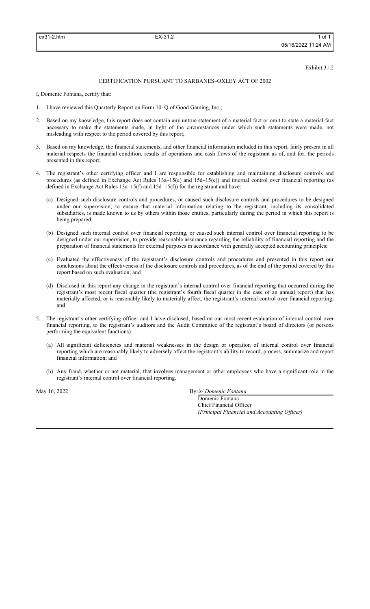Exhibit 31.2

#### CERTIFICATION PURSUANT TO SARBANES–OXLEY ACT OF 2002

I, Domenic Fontana, certify that:

- 1. I have reviewed this Quarterly Report on Form 10–Q of Good Gaming, Inc.;
- 2. Based on my knowledge, this report does not contain any untrue statement of a material fact or omit to state a material fact necessary to make the statements made, in light of the circumstances under which such statements were made, not misleading with respect to the period covered by this report;
- 3. Based on my knowledge, the financial statements, and other financial information included in this report, fairly present in all material respects the financial condition, results of operations and cash flows of the registrant as of, and for, the periods presented in this report;
- 4. The registrant's other certifying officer and I are responsible for establishing and maintaining disclosure controls and procedures (as defined in Exchange Act Rules 13a–15(e) and 15d–15(e)) and internal control over financial reporting (as defined in Exchange Act Rules  $13a-15(f)$  and  $15d-15(f)$ ) for the registrant and have:
	- (a) Designed such disclosure controls and procedures, or caused such disclosure controls and procedures to be designed under our supervision, to ensure that material information relating to the registrant, including its consolidated subsidiaries, is made known to us by others within those entities, particularly during the period in which this report is being prepared;
	- (b) Designed such internal control over financial reporting, or caused such internal control over financial reporting to be designed under our supervision, to provide reasonable assurance regarding the reliability of financial reporting and the preparation of financial statements for external purposes in accordance with generally accepted accounting principles;
	- (c) Evaluated the effectiveness of the registrant's disclosure controls and procedures and presented in this report our conclusions about the effectiveness of the disclosure controls and procedures, as of the end of the period covered by this report based on such evaluation; and
	- (d) Disclosed in this report any change in the registrant's internal control over financial reporting that occurred during the registrant's most recent fiscal quarter (the registrant's fourth fiscal quarter in the case of an annual report) that has materially affected, or is reasonably likely to materially affect, the registrant's internal control over financial reporting; and
- 5. The registrant's other certifying officer and I have disclosed, based on our most recent evaluation of internal control over financial reporting, to the registrant's auditors and the Audit Committee of the registrant's board of directors (or persons performing the equivalent functions):
	- (a) All significant deficiencies and material weaknesses in the design or operation of internal control over financial reporting which are reasonably likely to adversely affect the registrant's ability to record, process, summarize and report financial information; and
	- (b) Any fraud, whether or not material, that involves management or other employees who have a significant role in the registrant's internal control over financial reporting.

May 16, 2022 **By:/s/ Domenic Fontana** 

Domenic Fontana Chief Financial Officer *(Principal Financial and Accounting Officer)*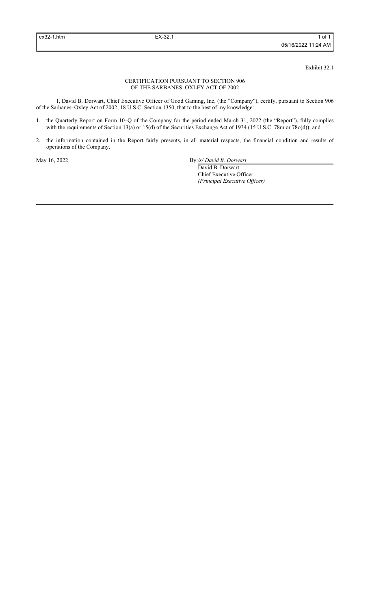Exhibit 32.1

#### CERTIFICATION PURSUANT TO SECTION 906 OF THE SARBANES–OXLEY ACT OF 2002

I, David B. Dorwart, Chief Executive Officer of Good Gaming, Inc. (the "Company"), certify, pursuant to Section 906 of the Sarbanes–Oxley Act of 2002, 18 U.S.C. Section 1350, that to the best of my knowledge:

- 1. the Quarterly Report on Form 10–Q of the Company for the period ended March 31, 2022 (the "Report"), fully complies with the requirements of Section 13(a) or 15(d) of the Securities Exchange Act of 1934 (15 U.S.C. 78m or 78o(d)); and
- 2. the information contained in the Report fairly presents, in all material respects, the financial condition and results of operations of the Company.

May 16, 2022 By:*/s/ David B. Dorwart*

David B. Dorwart Chief Executive Officer *(Principal Executive Officer)*